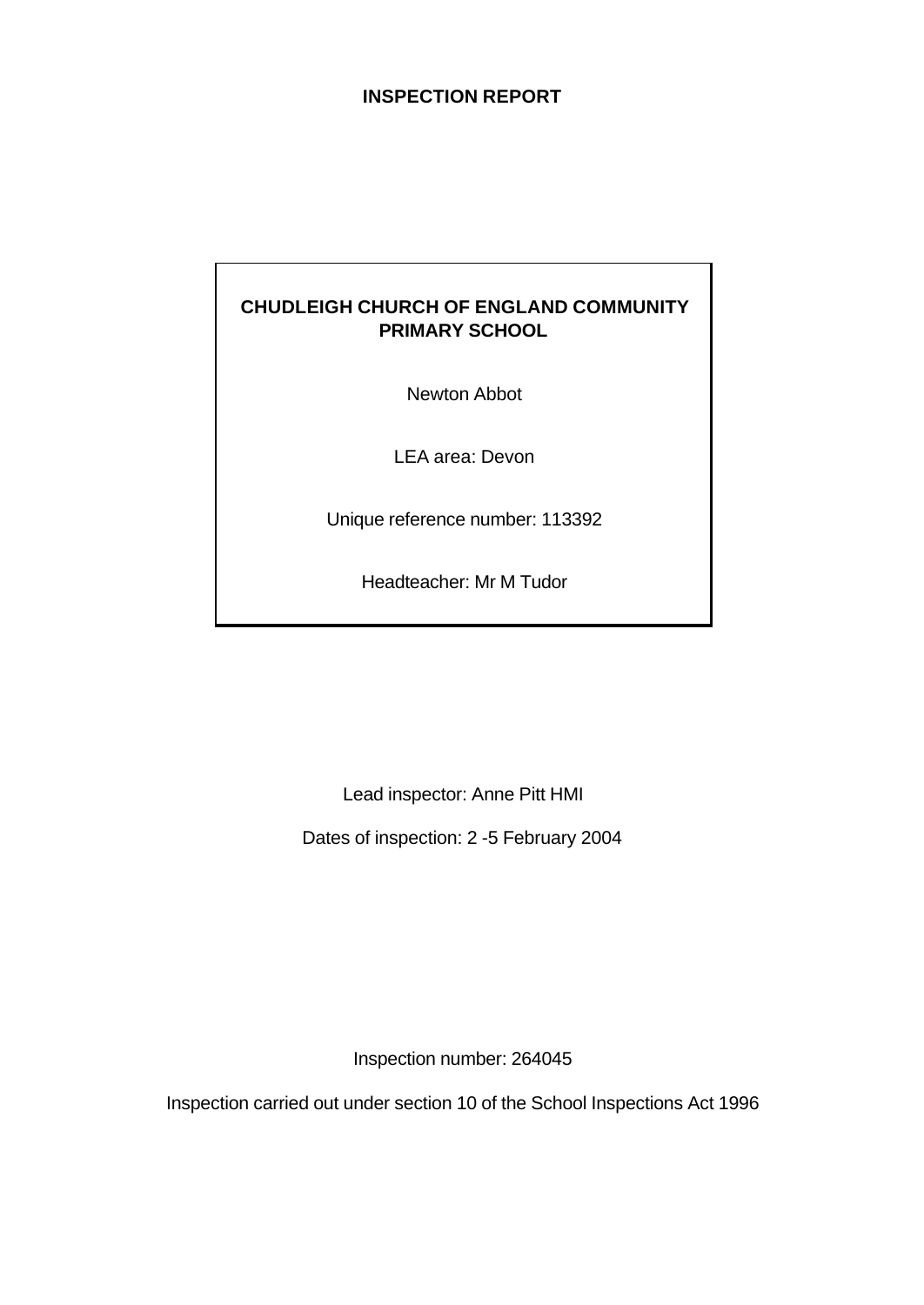# **INSPECTION REPORT**

# **CHUDLEIGH CHURCH OF ENGLAND COMMUNITY PRIMARY SCHOOL**

Newton Abbot

LEA area: Devon

Unique reference number: 113392

Headteacher: Mr M Tudor

Lead inspector: Anne Pitt HMI

Dates of inspection: 2 -5 February 2004

Inspection number: 264045

Inspection carried out under section 10 of the School Inspections Act 1996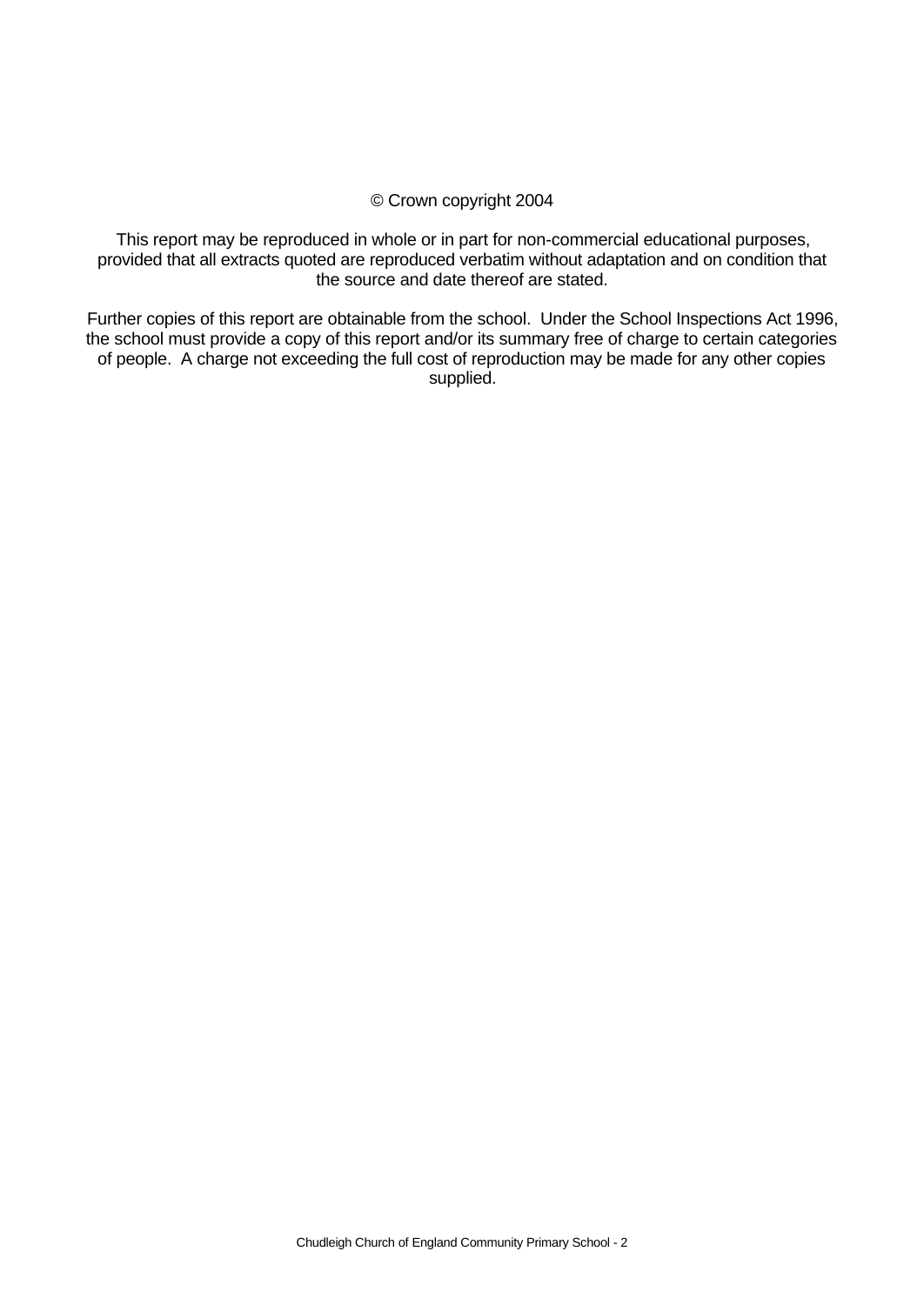#### © Crown copyright 2004

This report may be reproduced in whole or in part for non-commercial educational purposes, provided that all extracts quoted are reproduced verbatim without adaptation and on condition that the source and date thereof are stated.

Further copies of this report are obtainable from the school. Under the School Inspections Act 1996, the school must provide a copy of this report and/or its summary free of charge to certain categories of people. A charge not exceeding the full cost of reproduction may be made for any other copies supplied.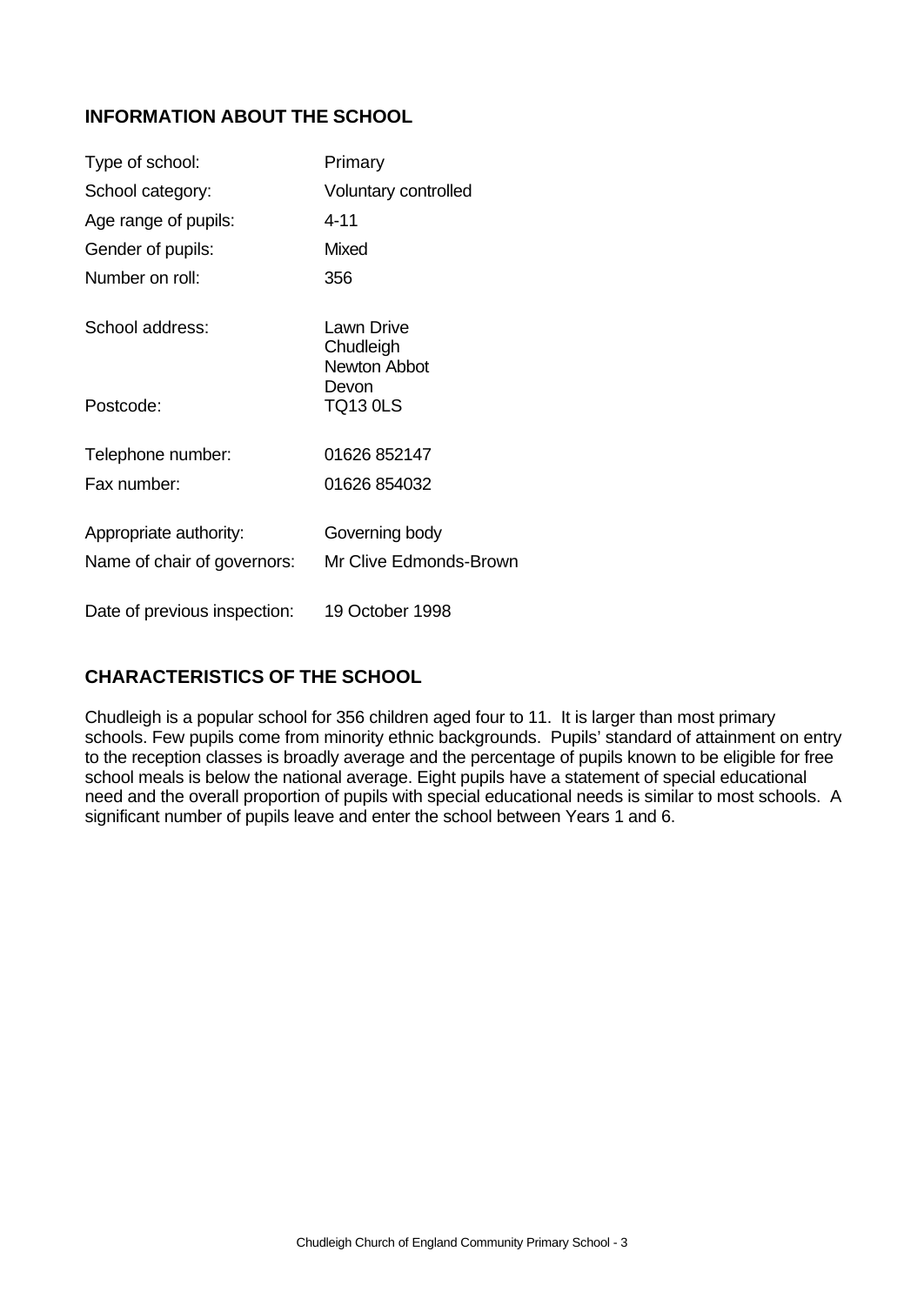# **INFORMATION ABOUT THE SCHOOL**

| Type of school:              | Primary                                 |
|------------------------------|-----------------------------------------|
| School category:             | Voluntary controlled                    |
| Age range of pupils:         | $4 - 11$                                |
| Gender of pupils:            | <b>Mixed</b>                            |
| Number on roll:              | 356                                     |
| School address:              | Lawn Drive<br>Chudleigh<br>Newton Abbot |
| Postcode:                    | Devon<br><b>TQ13 0LS</b>                |
| Telephone number:            | 01626 852147                            |
| Fax number:                  | 01626 854032                            |
| Appropriate authority:       | Governing body                          |
| Name of chair of governors:  | Mr Clive Edmonds-Brown                  |
| Date of previous inspection: | 19 October 1998                         |

# **CHARACTERISTICS OF THE SCHOOL**

Chudleigh is a popular school for 356 children aged four to 11. It is larger than most primary schools. Few pupils come from minority ethnic backgrounds. Pupils' standard of attainment on entry to the reception classes is broadly average and the percentage of pupils known to be eligible for free school meals is below the national average. Eight pupils have a statement of special educational need and the overall proportion of pupils with special educational needs is similar to most schools. A significant number of pupils leave and enter the school between Years 1 and 6.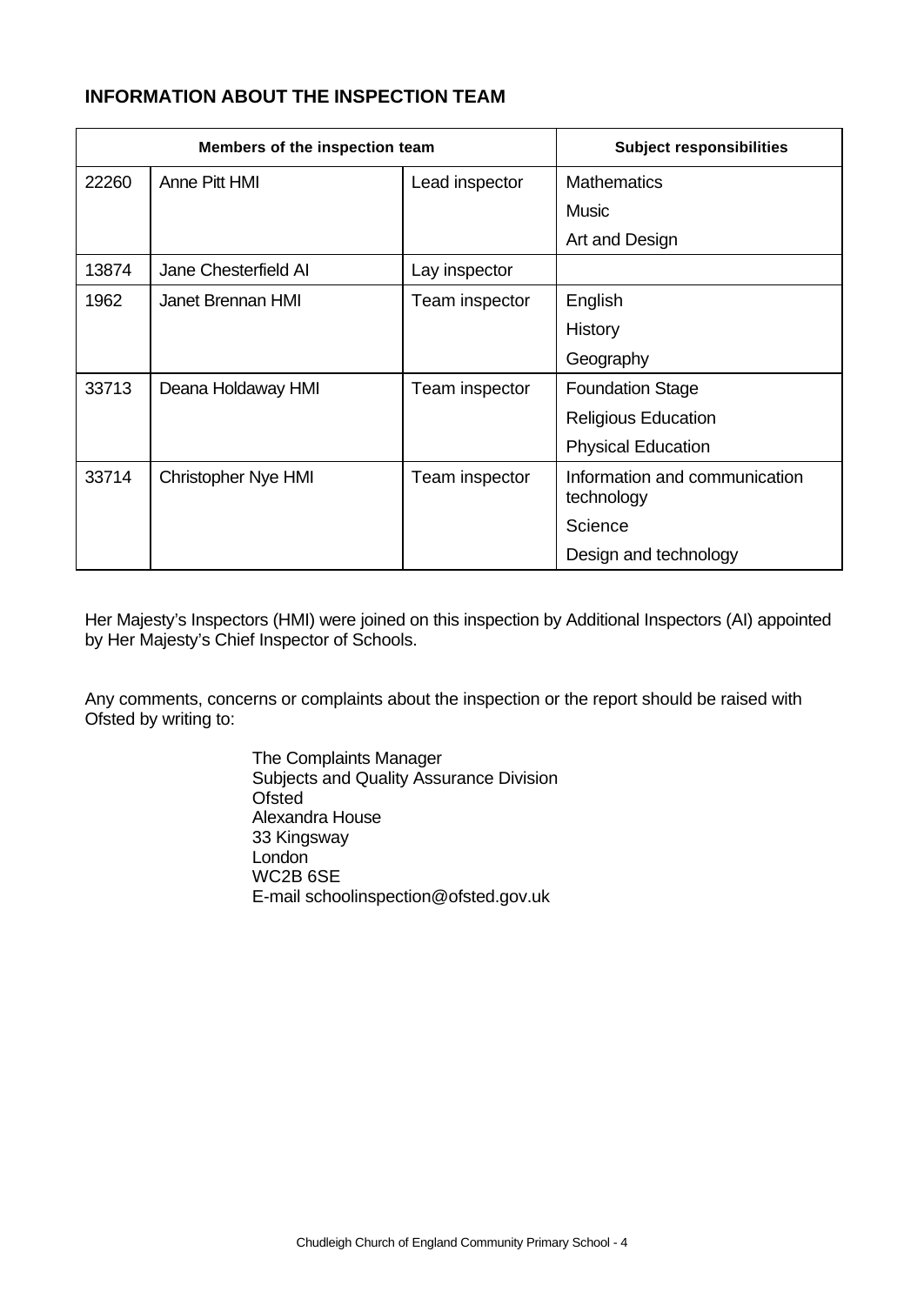# **INFORMATION ABOUT THE INSPECTION TEAM**

| Members of the inspection team |                            | <b>Subject responsibilities</b> |                                             |
|--------------------------------|----------------------------|---------------------------------|---------------------------------------------|
| 22260                          | Anne Pitt HMI              | Lead inspector                  | <b>Mathematics</b>                          |
|                                |                            |                                 | Music                                       |
|                                |                            |                                 | Art and Design                              |
| 13874                          | Jane Chesterfield AI       | Lay inspector                   |                                             |
| 1962                           | <b>Janet Brennan HMI</b>   | Team inspector                  | English                                     |
|                                |                            |                                 | History                                     |
|                                |                            |                                 | Geography                                   |
| 33713                          | Deana Holdaway HMI         | Team inspector                  | <b>Foundation Stage</b>                     |
|                                |                            |                                 | <b>Religious Education</b>                  |
|                                |                            |                                 | <b>Physical Education</b>                   |
| 33714                          | <b>Christopher Nye HMI</b> | Team inspector                  | Information and communication<br>technology |
|                                |                            |                                 | Science                                     |
|                                |                            |                                 | Design and technology                       |

Her Majesty's Inspectors (HMI) were joined on this inspection by Additional Inspectors (AI) appointed by Her Majesty's Chief Inspector of Schools.

Any comments, concerns or complaints about the inspection or the report should be raised with Ofsted by writing to:

> The Complaints Manager Subjects and Quality Assurance Division **Ofsted** Alexandra House 33 Kingsway **London** WC2B 6SE E-mail schoolinspection@ofsted.gov.uk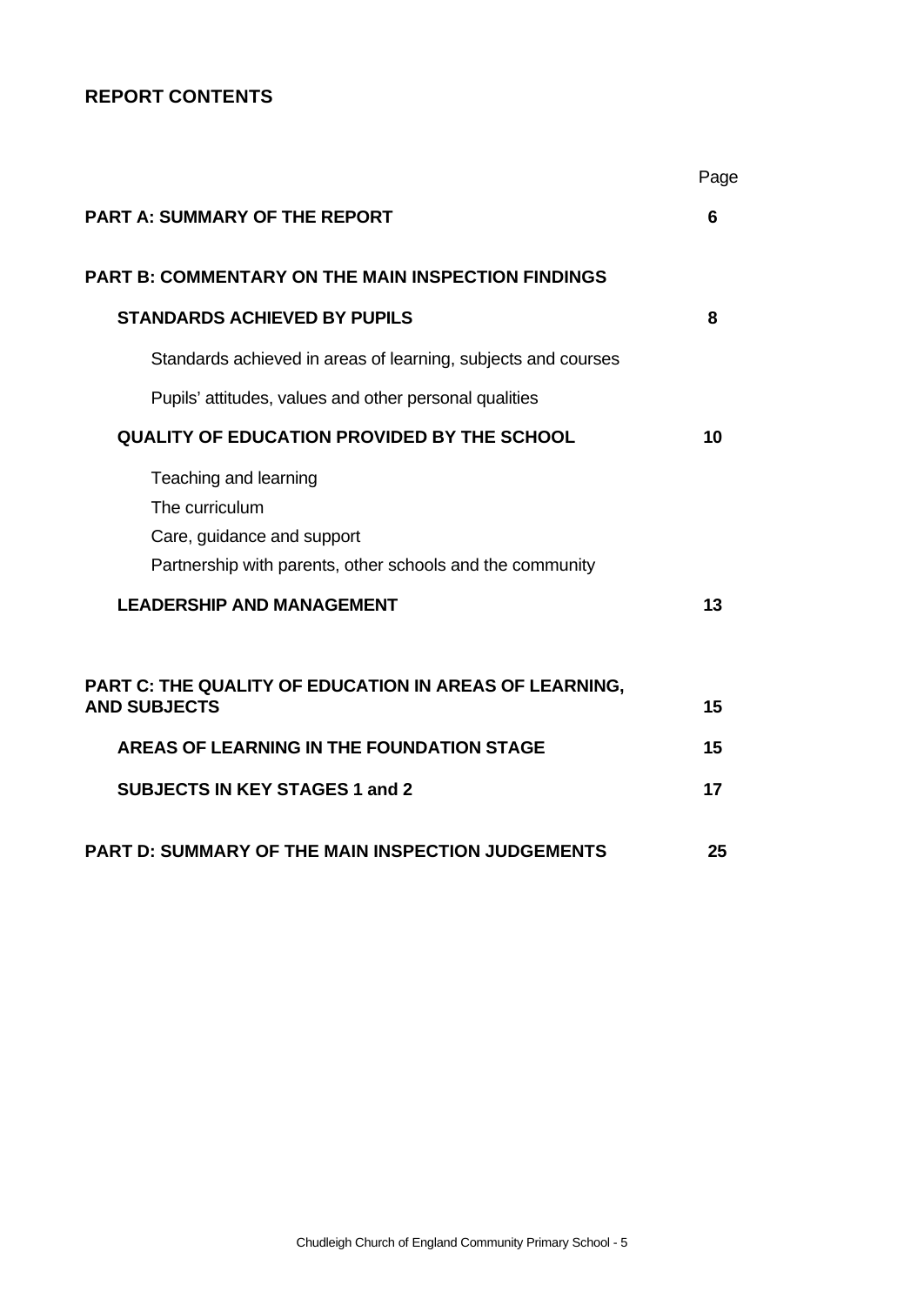# **REPORT CONTENTS**

|                                                                                                                                    | Page     |
|------------------------------------------------------------------------------------------------------------------------------------|----------|
| <b>PART A: SUMMARY OF THE REPORT</b>                                                                                               | 6        |
| <b>PART B: COMMENTARY ON THE MAIN INSPECTION FINDINGS</b>                                                                          |          |
| <b>STANDARDS ACHIEVED BY PUPILS</b>                                                                                                | 8        |
| Standards achieved in areas of learning, subjects and courses                                                                      |          |
| Pupils' attitudes, values and other personal qualities                                                                             |          |
| QUALITY OF EDUCATION PROVIDED BY THE SCHOOL                                                                                        | 10       |
| Teaching and learning<br>The curriculum<br>Care, guidance and support<br>Partnership with parents, other schools and the community |          |
| <b>LEADERSHIP AND MANAGEMENT</b>                                                                                                   | 13       |
| PART C: THE QUALITY OF EDUCATION IN AREAS OF LEARNING,<br><b>AND SUBJECTS</b><br>AREAS OF LEARNING IN THE FOUNDATION STAGE         | 15<br>15 |
| <b>SUBJECTS IN KEY STAGES 1 and 2</b>                                                                                              | 17       |
| <b>PART D: SUMMARY OF THE MAIN INSPECTION JUDGEMENTS</b>                                                                           | 25       |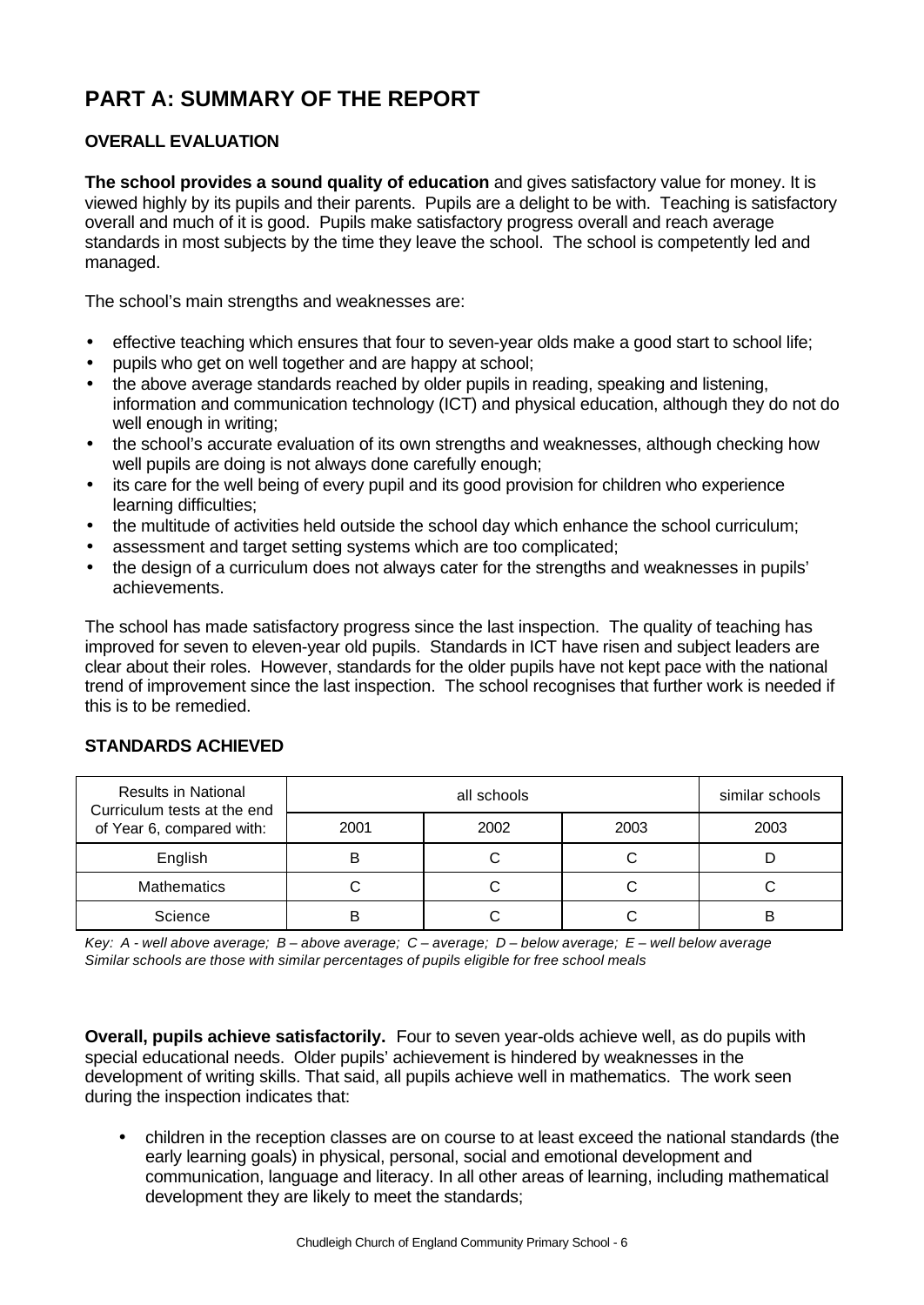# **PART A: SUMMARY OF THE REPORT**

# **OVERALL EVALUATION**

**The school provides a sound quality of education** and gives satisfactory value for money. It is viewed highly by its pupils and their parents. Pupils are a delight to be with. Teaching is satisfactory overall and much of it is good. Pupils make satisfactory progress overall and reach average standards in most subjects by the time they leave the school. The school is competently led and managed.

The school's main strengths and weaknesses are:

- effective teaching which ensures that four to seven-year olds make a good start to school life;
- pupils who get on well together and are happy at school;
- the above average standards reached by older pupils in reading, speaking and listening, information and communication technology (ICT) and physical education, although they do not do well enough in writing;
- the school's accurate evaluation of its own strengths and weaknesses, although checking how well pupils are doing is not always done carefully enough;
- its care for the well being of every pupil and its good provision for children who experience learning difficulties;
- the multitude of activities held outside the school day which enhance the school curriculum;
- assessment and target setting systems which are too complicated;
- the design of a curriculum does not always cater for the strengths and weaknesses in pupils' achievements.

The school has made satisfactory progress since the last inspection. The quality of teaching has improved for seven to eleven-year old pupils. Standards in ICT have risen and subject leaders are clear about their roles. However, standards for the older pupils have not kept pace with the national trend of improvement since the last inspection. The school recognises that further work is needed if this is to be remedied.

| <b>Results in National</b><br>Curriculum tests at the end |      | similar schools |      |      |
|-----------------------------------------------------------|------|-----------------|------|------|
| of Year 6, compared with:                                 | 2001 | 2002            | 2003 | 2003 |
| English                                                   |      |                 |      |      |
| <b>Mathematics</b>                                        |      |                 |      |      |
| Science                                                   | R    |                 |      | В    |

### **STANDARDS ACHIEVED**

*Key: A - well above average; B – above average; C – average; D – below average; E – well below average Similar schools are those with similar percentages of pupils eligible for free school meals*

**Overall, pupils achieve satisfactorily.** Four to seven year-olds achieve well, as do pupils with special educational needs. Older pupils' achievement is hindered by weaknesses in the development of writing skills. That said, all pupils achieve well in mathematics. The work seen during the inspection indicates that:

• children in the reception classes are on course to at least exceed the national standards (the early learning goals) in physical, personal, social and emotional development and communication, language and literacy. In all other areas of learning, including mathematical development they are likely to meet the standards;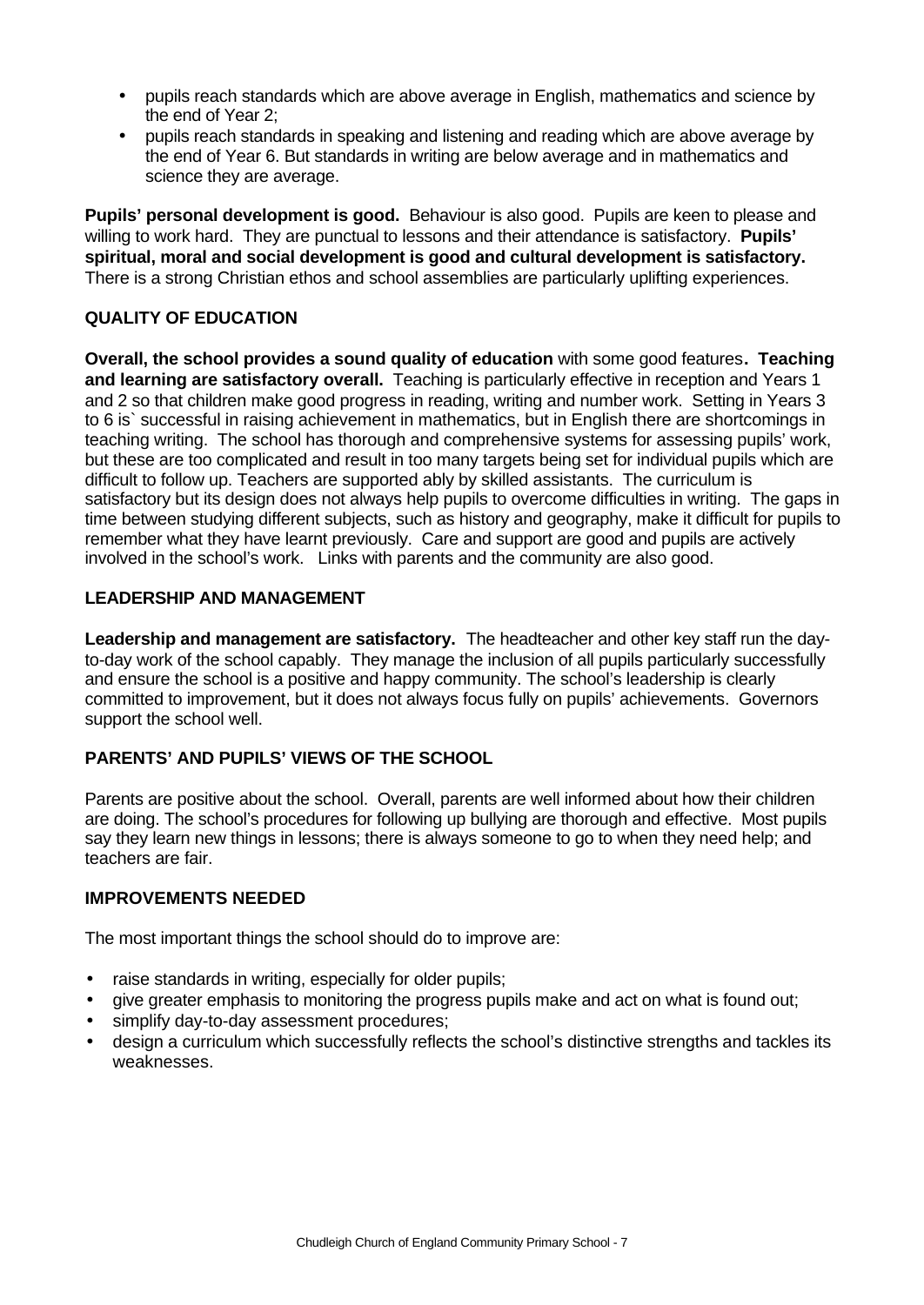- pupils reach standards which are above average in English, mathematics and science by the end of Year 2;
- pupils reach standards in speaking and listening and reading which are above average by the end of Year 6. But standards in writing are below average and in mathematics and science they are average.

**Pupils' personal development is good.** Behaviour is also good. Pupils are keen to please and willing to work hard. They are punctual to lessons and their attendance is satisfactory. **Pupils' spiritual, moral and social development is good and cultural development is satisfactory.** There is a strong Christian ethos and school assemblies are particularly uplifting experiences.

# **QUALITY OF EDUCATION**

**Overall, the school provides a sound quality of education** with some good features**. Teaching and learning are satisfactory overall.** Teaching is particularly effective in reception and Years 1 and 2 so that children make good progress in reading, writing and number work. Setting in Years 3 to 6 is` successful in raising achievement in mathematics, but in English there are shortcomings in teaching writing. The school has thorough and comprehensive systems for assessing pupils' work, but these are too complicated and result in too many targets being set for individual pupils which are difficult to follow up. Teachers are supported ably by skilled assistants. The curriculum is satisfactory but its design does not always help pupils to overcome difficulties in writing. The gaps in time between studying different subjects, such as history and geography, make it difficult for pupils to remember what they have learnt previously. Care and support are good and pupils are actively involved in the school's work. Links with parents and the community are also good.

# **LEADERSHIP AND MANAGEMENT**

**Leadership and management are satisfactory.** The headteacher and other key staff run the dayto-day work of the school capably. They manage the inclusion of all pupils particularly successfully and ensure the school is a positive and happy community. The school's leadership is clearly committed to improvement, but it does not always focus fully on pupils' achievements. Governors support the school well.

# **PARENTS' AND PUPILS' VIEWS OF THE SCHOOL**

Parents are positive about the school. Overall, parents are well informed about how their children are doing. The school's procedures for following up bullying are thorough and effective. Most pupils say they learn new things in lessons; there is always someone to go to when they need help; and teachers are fair.

## **IMPROVEMENTS NEEDED**

The most important things the school should do to improve are:

- raise standards in writing, especially for older pupils;
- give greater emphasis to monitoring the progress pupils make and act on what is found out;
- simplify day-to-day assessment procedures;
- design a curriculum which successfully reflects the school's distinctive strengths and tackles its weaknesses.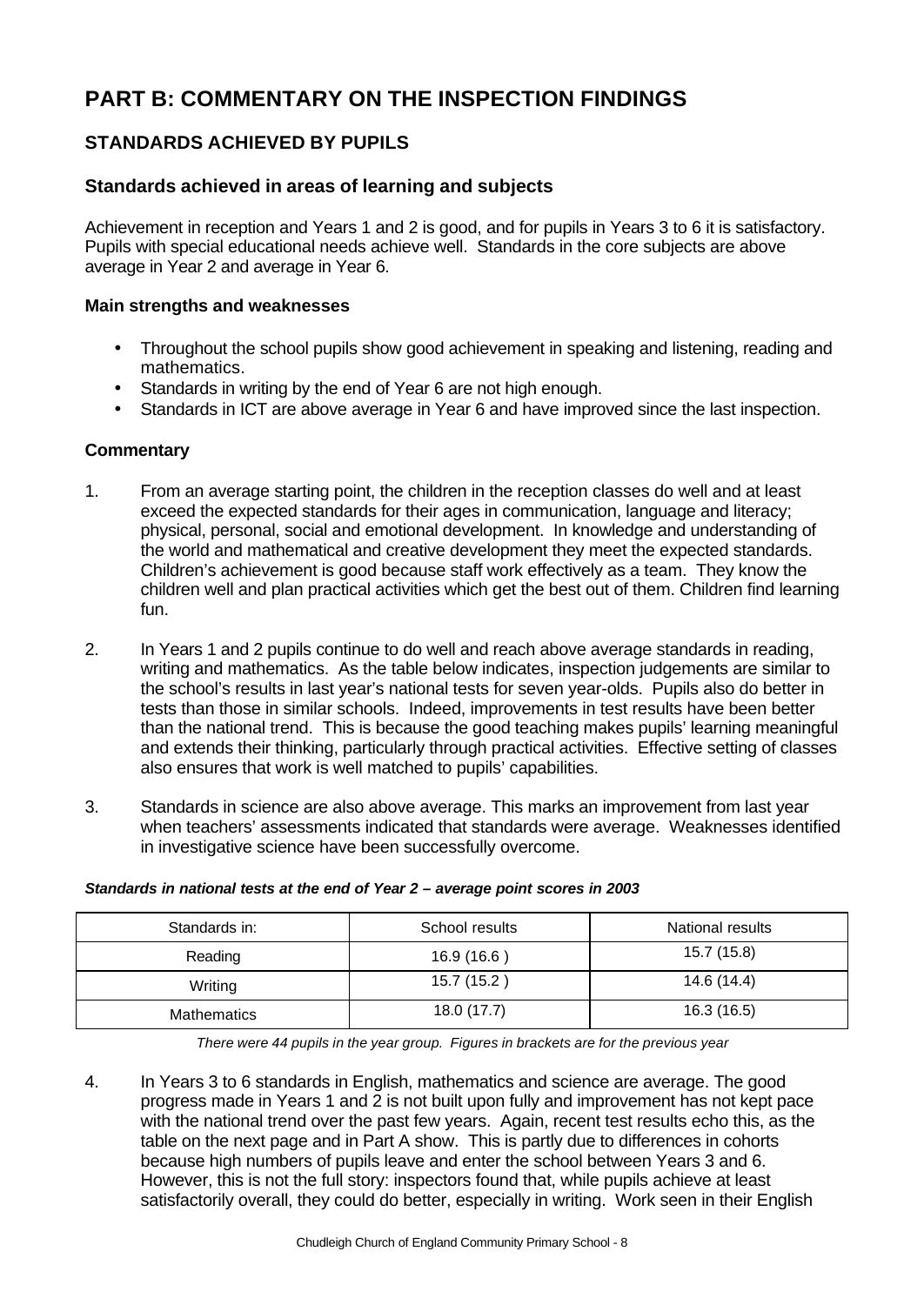# **PART B: COMMENTARY ON THE INSPECTION FINDINGS**

# **STANDARDS ACHIEVED BY PUPILS**

## **Standards achieved in areas of learning and subjects**

Achievement in reception and Years 1 and 2 is good, and for pupils in Years 3 to 6 it is satisfactory. Pupils with special educational needs achieve well. Standards in the core subjects are above average in Year 2 and average in Year 6.

### **Main strengths and weaknesses**

- Throughout the school pupils show good achievement in speaking and listening, reading and mathematics.
- Standards in writing by the end of Year 6 are not high enough.
- Standards in ICT are above average in Year 6 and have improved since the last inspection.

### **Commentary**

- 1. From an average starting point, the children in the reception classes do well and at least exceed the expected standards for their ages in communication, language and literacy; physical, personal, social and emotional development. In knowledge and understanding of the world and mathematical and creative development they meet the expected standards. Children's achievement is good because staff work effectively as a team. They know the children well and plan practical activities which get the best out of them. Children find learning fun.
- 2. In Years 1 and 2 pupils continue to do well and reach above average standards in reading, writing and mathematics. As the table below indicates, inspection judgements are similar to the school's results in last year's national tests for seven year-olds. Pupils also do better in tests than those in similar schools. Indeed, improvements in test results have been better than the national trend. This is because the good teaching makes pupils' learning meaningful and extends their thinking, particularly through practical activities. Effective setting of classes also ensures that work is well matched to pupils' capabilities.
- 3. Standards in science are also above average. This marks an improvement from last year when teachers' assessments indicated that standards were average. Weaknesses identified in investigative science have been successfully overcome.

| Standards in:      | School results | National results |
|--------------------|----------------|------------------|
| Reading            | 16.9(16.6)     | 15.7 (15.8)      |
| Writing            | 15.7 (15.2)    | 14.6 (14.4)      |
| <b>Mathematics</b> | 18.0 (17.7)    | 16.3 (16.5)      |

#### *Standards in national tests at the end of Year 2 – average point scores in 2003*

*There were 44 pupils in the year group. Figures in brackets are for the previous year*

4. In Years 3 to 6 standards in English, mathematics and science are average. The good progress made in Years 1 and 2 is not built upon fully and improvement has not kept pace with the national trend over the past few years. Again, recent test results echo this, as the table on the next page and in Part A show. This is partly due to differences in cohorts because high numbers of pupils leave and enter the school between Years 3 and 6. However, this is not the full story: inspectors found that, while pupils achieve at least satisfactorily overall, they could do better, especially in writing. Work seen in their English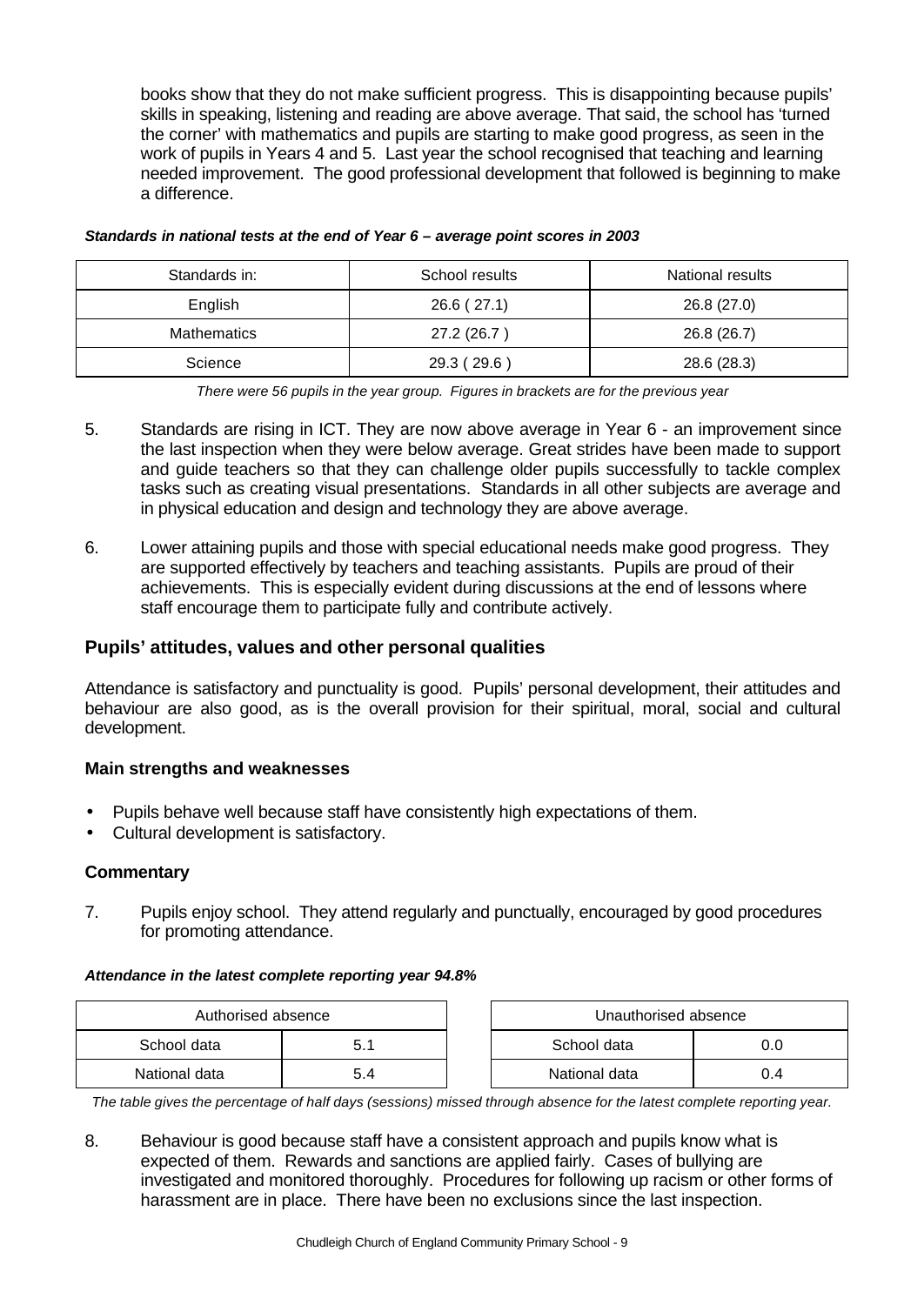books show that they do not make sufficient progress. This is disappointing because pupils' skills in speaking, listening and reading are above average. That said, the school has 'turned the corner' with mathematics and pupils are starting to make good progress, as seen in the work of pupils in Years 4 and 5. Last year the school recognised that teaching and learning needed improvement. The good professional development that followed is beginning to make a difference.

| Standards in: | School results | National results |
|---------------|----------------|------------------|
| English       | 26.6(27.1)     | 26.8 (27.0)      |
| Mathematics   | 27.2 (26.7)    | 26.8 (26.7)      |
| Science       | 29.3 (29.6)    | 28.6 (28.3)      |

#### *Standards in national tests at the end of Year 6 – average point scores in 2003*

*There were 56 pupils in the year group. Figures in brackets are for the previous year*

- 5. Standards are rising in ICT. They are now above average in Year 6 an improvement since the last inspection when they were below average. Great strides have been made to support and guide teachers so that they can challenge older pupils successfully to tackle complex tasks such as creating visual presentations. Standards in all other subjects are average and in physical education and design and technology they are above average.
- 6. Lower attaining pupils and those with special educational needs make good progress. They are supported effectively by teachers and teaching assistants. Pupils are proud of their achievements. This is especially evident during discussions at the end of lessons where staff encourage them to participate fully and contribute actively.

#### **Pupils' attitudes, values and other personal qualities**

Attendance is satisfactory and punctuality is good. Pupils' personal development, their attitudes and behaviour are also good, as is the overall provision for their spiritual, moral, social and cultural development.

#### **Main strengths and weaknesses**

- Pupils behave well because staff have consistently high expectations of them.
- Cultural development is satisfactory.

#### **Commentary**

7. Pupils enjoy school. They attend regularly and punctually, encouraged by good procedures for promoting attendance.

#### *Attendance in the latest complete reporting year 94.8%*

| Authorised absence |  | Unauthorised absence |     |
|--------------------|--|----------------------|-----|
| School data<br>5.1 |  | School data          | 0.0 |
| National data      |  | National data        | J.4 |

*The table gives the percentage of half days (sessions) missed through absence for the latest complete reporting year.*

8. Behaviour is good because staff have a consistent approach and pupils know what is expected of them. Rewards and sanctions are applied fairly. Cases of bullying are investigated and monitored thoroughly. Procedures for following up racism or other forms of harassment are in place. There have been no exclusions since the last inspection.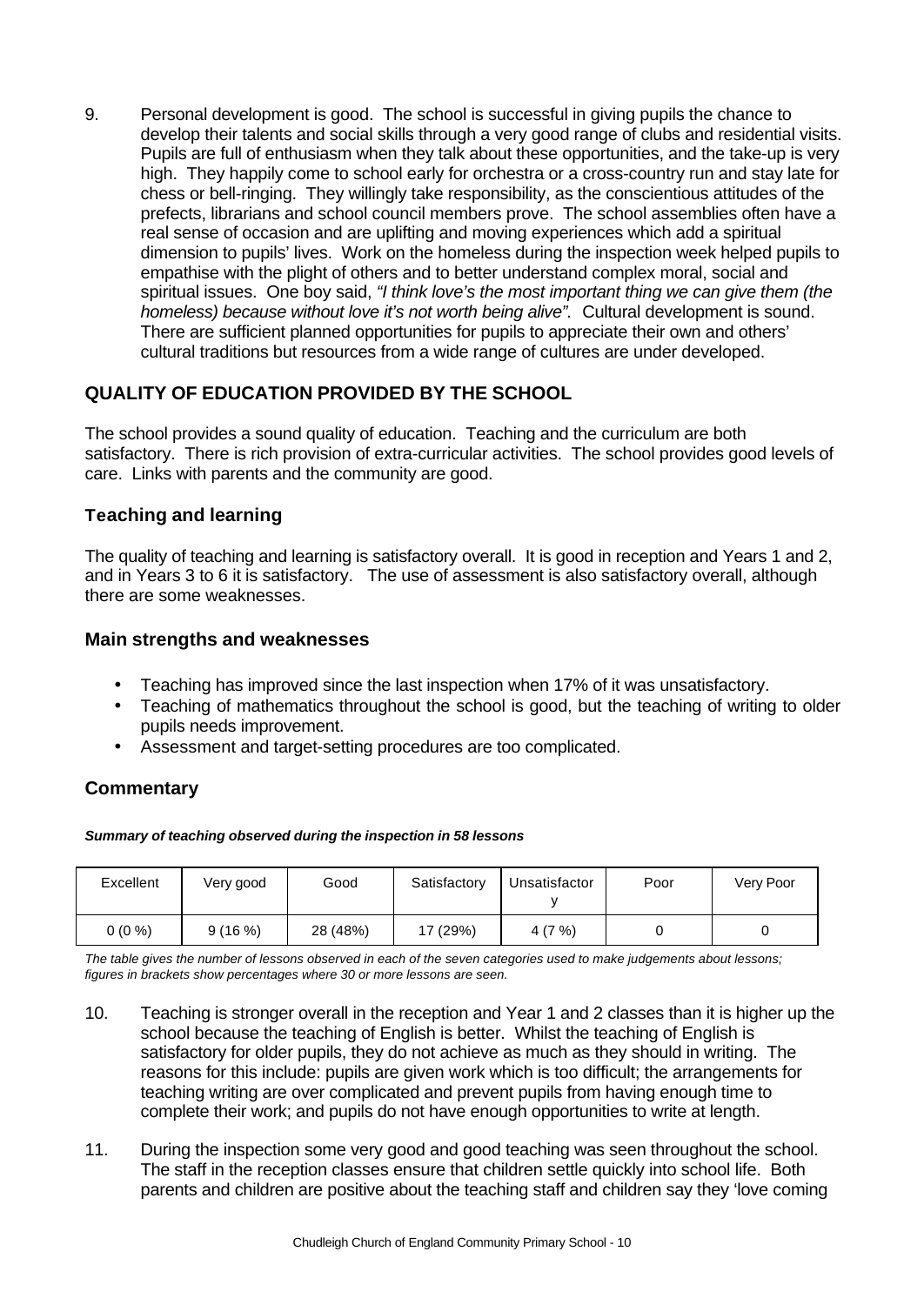9. Personal development is good. The school is successful in giving pupils the chance to develop their talents and social skills through a very good range of clubs and residential visits. Pupils are full of enthusiasm when they talk about these opportunities, and the take-up is very high. They happily come to school early for orchestra or a cross-country run and stay late for chess or bell-ringing. They willingly take responsibility, as the conscientious attitudes of the prefects, librarians and school council members prove. The school assemblies often have a real sense of occasion and are uplifting and moving experiences which add a spiritual dimension to pupils' lives. Work on the homeless during the inspection week helped pupils to empathise with the plight of others and to better understand complex moral, social and spiritual issues. One boy said, *"I think love's the most important thing we can give them (the homeless) because without love it's not worth being alive".* Cultural development is sound. There are sufficient planned opportunities for pupils to appreciate their own and others' cultural traditions but resources from a wide range of cultures are under developed.

# **QUALITY OF EDUCATION PROVIDED BY THE SCHOOL**

The school provides a sound quality of education. Teaching and the curriculum are both satisfactory. There is rich provision of extra-curricular activities. The school provides good levels of care. Links with parents and the community are good.

## **Teaching and learning**

The quality of teaching and learning is satisfactory overall. It is good in reception and Years 1 and 2, and in Years 3 to 6 it is satisfactory. The use of assessment is also satisfactory overall, although there are some weaknesses.

### **Main strengths and weaknesses**

- Teaching has improved since the last inspection when 17% of it was unsatisfactory.
- Teaching of mathematics throughout the school is good, but the teaching of writing to older pupils needs improvement.
- Assessment and target-setting procedures are too complicated.

# **Commentary**

#### *Summary of teaching observed during the inspection in 58 lessons*

| Excellent | Very good | Good     | Satisfactory | Unsatisfactor | Poor | Very Poor |
|-----------|-----------|----------|--------------|---------------|------|-----------|
| $0(0\%)$  | 9(16%)    | 28 (48%) | 17 (29%)     | 4(7%)         |      |           |

*The table gives the number of lessons observed in each of the seven categories used to make judgements about lessons; figures in brackets show percentages where 30 or more lessons are seen.*

- 10. Teaching is stronger overall in the reception and Year 1 and 2 classes than it is higher up the school because the teaching of English is better. Whilst the teaching of English is satisfactory for older pupils, they do not achieve as much as they should in writing. The reasons for this include: pupils are given work which is too difficult; the arrangements for teaching writing are over complicated and prevent pupils from having enough time to complete their work; and pupils do not have enough opportunities to write at length.
- 11. During the inspection some very good and good teaching was seen throughout the school. The staff in the reception classes ensure that children settle quickly into school life. Both parents and children are positive about the teaching staff and children say they 'love coming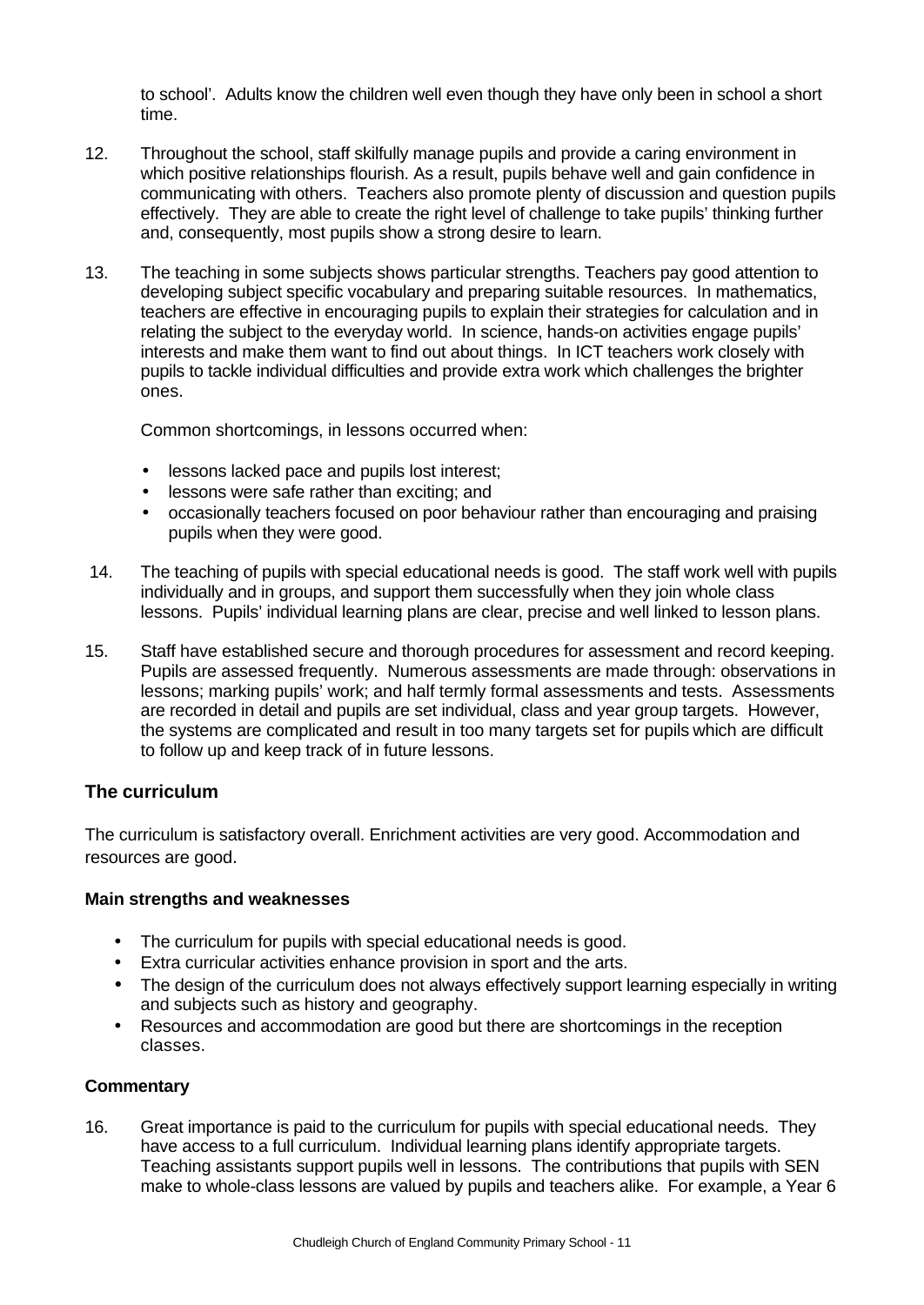to school'. Adults know the children well even though they have only been in school a short time.

- 12. Throughout the school, staff skilfully manage pupils and provide a caring environment in which positive relationships flourish. As a result, pupils behave well and gain confidence in communicating with others. Teachers also promote plenty of discussion and question pupils effectively. They are able to create the right level of challenge to take pupils' thinking further and, consequently, most pupils show a strong desire to learn.
- 13. The teaching in some subjects shows particular strengths. Teachers pay good attention to developing subject specific vocabulary and preparing suitable resources. In mathematics, teachers are effective in encouraging pupils to explain their strategies for calculation and in relating the subject to the everyday world. In science, hands-on activities engage pupils' interests and make them want to find out about things. In ICT teachers work closely with pupils to tackle individual difficulties and provide extra work which challenges the brighter ones.

Common shortcomings, in lessons occurred when:

- lessons lacked pace and pupils lost interest;
- lessons were safe rather than exciting; and
- occasionally teachers focused on poor behaviour rather than encouraging and praising pupils when they were good.
- 14. The teaching of pupils with special educational needs is good. The staff work well with pupils individually and in groups, and support them successfully when they join whole class lessons. Pupils' individual learning plans are clear, precise and well linked to lesson plans.
- 15. Staff have established secure and thorough procedures for assessment and record keeping. Pupils are assessed frequently. Numerous assessments are made through: observations in lessons; marking pupils' work; and half termly formal assessments and tests. Assessments are recorded in detail and pupils are set individual, class and year group targets. However, the systems are complicated and result in too many targets set for pupils which are difficult to follow up and keep track of in future lessons.

## **The curriculum**

The curriculum is satisfactory overall. Enrichment activities are very good. Accommodation and resources are good.

### **Main strengths and weaknesses**

- The curriculum for pupils with special educational needs is good.
- Extra curricular activities enhance provision in sport and the arts.
- The design of the curriculum does not always effectively support learning especially in writing and subjects such as history and geography.
- Resources and accommodation are good but there are shortcomings in the reception classes.

### **Commentary**

16. Great importance is paid to the curriculum for pupils with special educational needs. They have access to a full curriculum. Individual learning plans identify appropriate targets. Teaching assistants support pupils well in lessons. The contributions that pupils with SEN make to whole-class lessons are valued by pupils and teachers alike. For example, a Year 6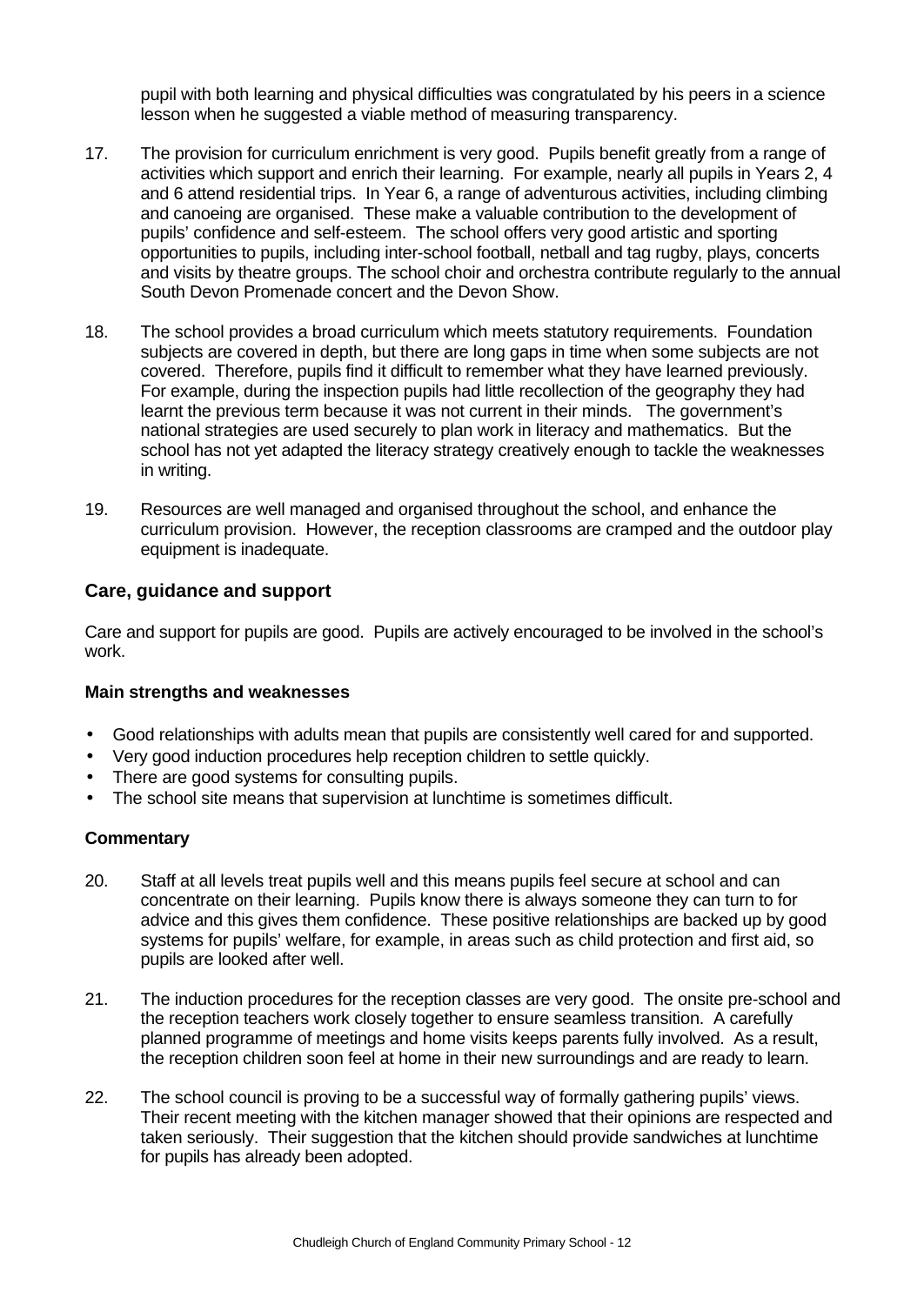pupil with both learning and physical difficulties was congratulated by his peers in a science lesson when he suggested a viable method of measuring transparency.

- 17. The provision for curriculum enrichment is very good. Pupils benefit greatly from a range of activities which support and enrich their learning. For example, nearly all pupils in Years 2, 4 and 6 attend residential trips. In Year 6, a range of adventurous activities, including climbing and canoeing are organised. These make a valuable contribution to the development of pupils' confidence and self-esteem. The school offers very good artistic and sporting opportunities to pupils, including inter-school football, netball and tag rugby, plays, concerts and visits by theatre groups. The school choir and orchestra contribute regularly to the annual South Devon Promenade concert and the Devon Show.
- 18. The school provides a broad curriculum which meets statutory requirements. Foundation subjects are covered in depth, but there are long gaps in time when some subjects are not covered. Therefore, pupils find it difficult to remember what they have learned previously. For example, during the inspection pupils had little recollection of the geography they had learnt the previous term because it was not current in their minds. The government's national strategies are used securely to plan work in literacy and mathematics. But the school has not yet adapted the literacy strategy creatively enough to tackle the weaknesses in writing.
- 19. Resources are well managed and organised throughout the school, and enhance the curriculum provision. However, the reception classrooms are cramped and the outdoor play equipment is inadequate.

### **Care, guidance and support**

Care and support for pupils are good. Pupils are actively encouraged to be involved in the school's work.

#### **Main strengths and weaknesses**

- Good relationships with adults mean that pupils are consistently well cared for and supported.
- Very good induction procedures help reception children to settle quickly.
- There are good systems for consulting pupils.
- The school site means that supervision at lunchtime is sometimes difficult.

- 20. Staff at all levels treat pupils well and this means pupils feel secure at school and can concentrate on their learning. Pupils know there is always someone they can turn to for advice and this gives them confidence. These positive relationships are backed up by good systems for pupils' welfare, for example, in areas such as child protection and first aid, so pupils are looked after well.
- 21. The induction procedures for the reception classes are very good. The onsite pre-school and the reception teachers work closely together to ensure seamless transition. A carefully planned programme of meetings and home visits keeps parents fully involved. As a result, the reception children soon feel at home in their new surroundings and are ready to learn.
- 22. The school council is proving to be a successful way of formally gathering pupils' views. Their recent meeting with the kitchen manager showed that their opinions are respected and taken seriously. Their suggestion that the kitchen should provide sandwiches at lunchtime for pupils has already been adopted.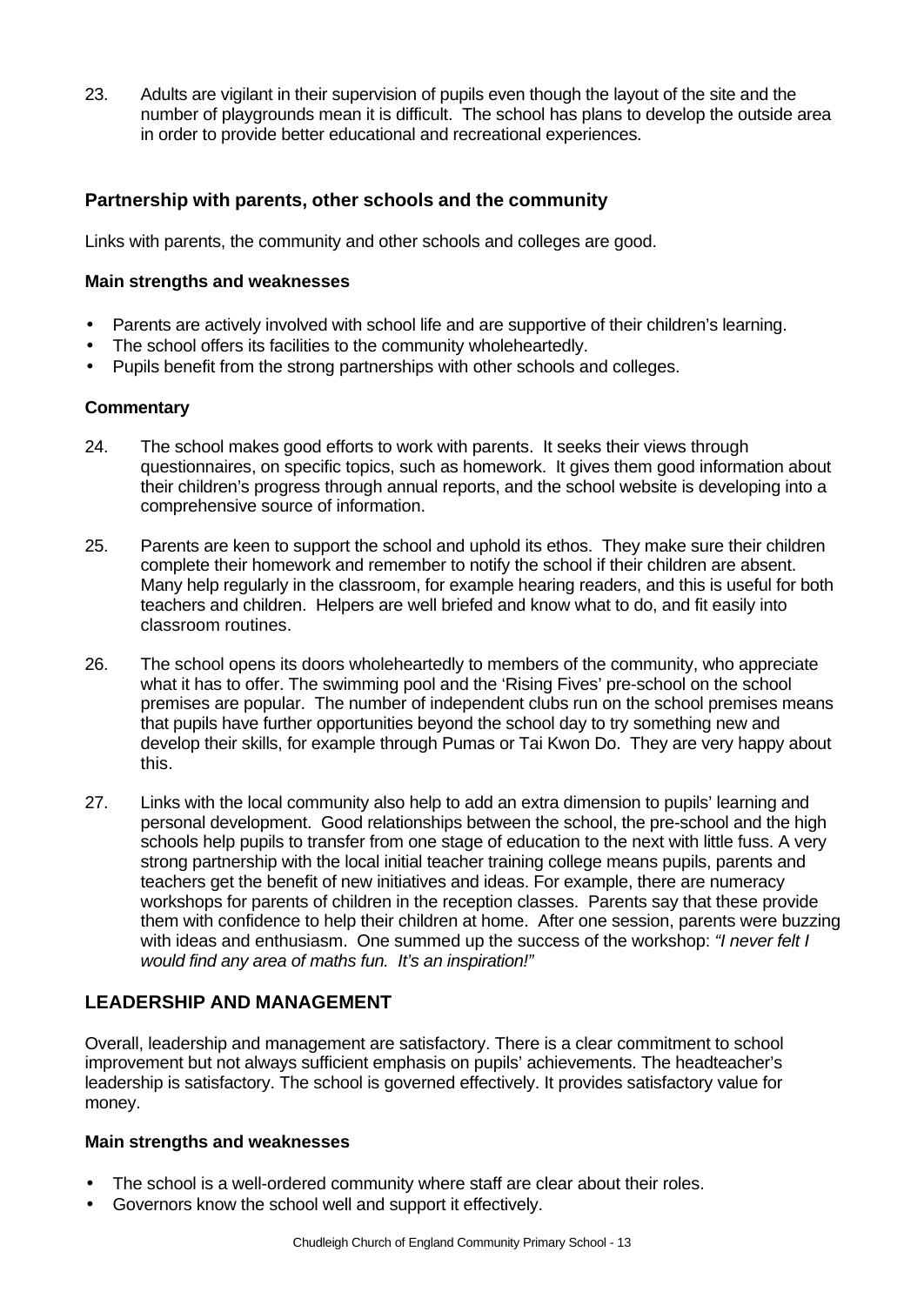23. Adults are vigilant in their supervision of pupils even though the layout of the site and the number of playgrounds mean it is difficult. The school has plans to develop the outside area in order to provide better educational and recreational experiences.

## **Partnership with parents, other schools and the community**

Links with parents, the community and other schools and colleges are good.

#### **Main strengths and weaknesses**

- Parents are actively involved with school life and are supportive of their children's learning.
- The school offers its facilities to the community wholeheartedly.
- Pupils benefit from the strong partnerships with other schools and colleges.

#### **Commentary**

- 24. The school makes good efforts to work with parents. It seeks their views through questionnaires, on specific topics, such as homework. It gives them good information about their children's progress through annual reports, and the school website is developing into a comprehensive source of information.
- 25. Parents are keen to support the school and uphold its ethos. They make sure their children complete their homework and remember to notify the school if their children are absent. Many help regularly in the classroom, for example hearing readers, and this is useful for both teachers and children. Helpers are well briefed and know what to do, and fit easily into classroom routines.
- 26. The school opens its doors wholeheartedly to members of the community, who appreciate what it has to offer. The swimming pool and the 'Rising Fives' pre-school on the school premises are popular. The number of independent clubs run on the school premises means that pupils have further opportunities beyond the school day to try something new and develop their skills, for example through Pumas or Tai Kwon Do. They are very happy about this.
- 27. Links with the local community also help to add an extra dimension to pupils' learning and personal development. Good relationships between the school, the pre-school and the high schools help pupils to transfer from one stage of education to the next with little fuss. A very strong partnership with the local initial teacher training college means pupils, parents and teachers get the benefit of new initiatives and ideas. For example, there are numeracy workshops for parents of children in the reception classes. Parents say that these provide them with confidence to help their children at home. After one session, parents were buzzing with ideas and enthusiasm. One summed up the success of the workshop: *"I never felt I would find any area of maths fun. It's an inspiration!"*

## **LEADERSHIP AND MANAGEMENT**

Overall, leadership and management are satisfactory. There is a clear commitment to school improvement but not always sufficient emphasis on pupils' achievements. The headteacher's leadership is satisfactory. The school is governed effectively. It provides satisfactory value for money.

#### **Main strengths and weaknesses**

- The school is a well-ordered community where staff are clear about their roles.
- Governors know the school well and support it effectively.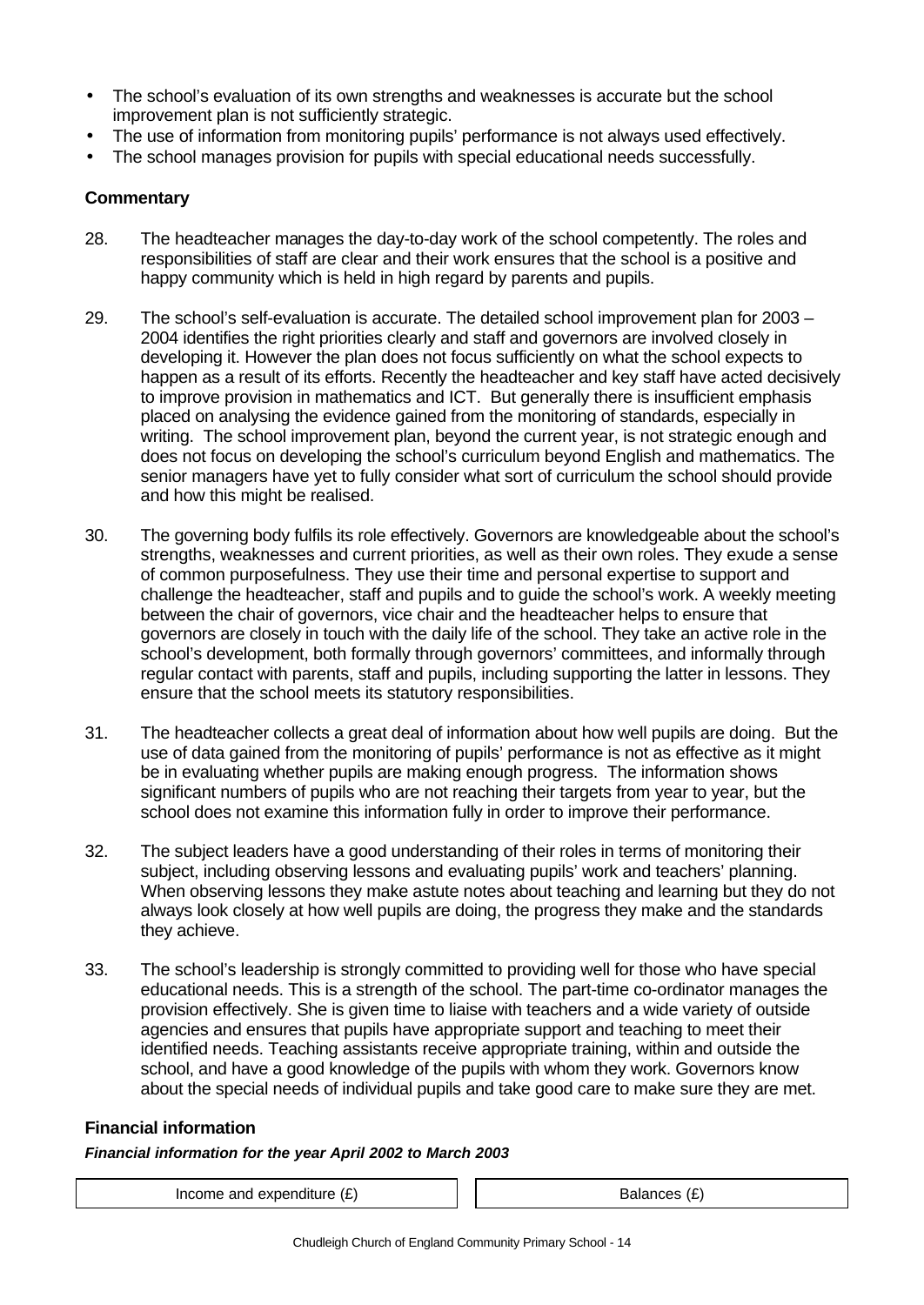- The school's evaluation of its own strengths and weaknesses is accurate but the school improvement plan is not sufficiently strategic.
- The use of information from monitoring pupils' performance is not always used effectively.
- The school manages provision for pupils with special educational needs successfully.

### **Commentary**

- 28. The headteacher manages the day-to-day work of the school competently. The roles and responsibilities of staff are clear and their work ensures that the school is a positive and happy community which is held in high regard by parents and pupils.
- 29. The school's self-evaluation is accurate. The detailed school improvement plan for 2003 2004 identifies the right priorities clearly and staff and governors are involved closely in developing it. However the plan does not focus sufficiently on what the school expects to happen as a result of its efforts. Recently the headteacher and key staff have acted decisively to improve provision in mathematics and ICT. But generally there is insufficient emphasis placed on analysing the evidence gained from the monitoring of standards, especially in writing. The school improvement plan, beyond the current year, is not strategic enough and does not focus on developing the school's curriculum beyond English and mathematics. The senior managers have yet to fully consider what sort of curriculum the school should provide and how this might be realised.
- 30. The governing body fulfils its role effectively. Governors are knowledgeable about the school's strengths, weaknesses and current priorities, as well as their own roles. They exude a sense of common purposefulness. They use their time and personal expertise to support and challenge the headteacher, staff and pupils and to guide the school's work. A weekly meeting between the chair of governors, vice chair and the headteacher helps to ensure that governors are closely in touch with the daily life of the school. They take an active role in the school's development, both formally through governors' committees, and informally through regular contact with parents, staff and pupils, including supporting the latter in lessons. They ensure that the school meets its statutory responsibilities.
- 31. The headteacher collects a great deal of information about how well pupils are doing. But the use of data gained from the monitoring of pupils' performance is not as effective as it might be in evaluating whether pupils are making enough progress. The information shows significant numbers of pupils who are not reaching their targets from year to year, but the school does not examine this information fully in order to improve their performance.
- 32. The subject leaders have a good understanding of their roles in terms of monitoring their subject, including observing lessons and evaluating pupils' work and teachers' planning. When observing lessons they make astute notes about teaching and learning but they do not always look closely at how well pupils are doing, the progress they make and the standards they achieve.
- 33. The school's leadership is strongly committed to providing well for those who have special educational needs. This is a strength of the school. The part-time co-ordinator manages the provision effectively. She is given time to liaise with teachers and a wide variety of outside agencies and ensures that pupils have appropriate support and teaching to meet their identified needs. Teaching assistants receive appropriate training, within and outside the school, and have a good knowledge of the pupils with whom they work. Governors know about the special needs of individual pupils and take good care to make sure they are met.

### **Financial information**

### *Financial information for the year April 2002 to March 2003*

Income and expenditure  $(E)$   $\qquad$   $\qquad$   $\qquad$  Balances  $(E)$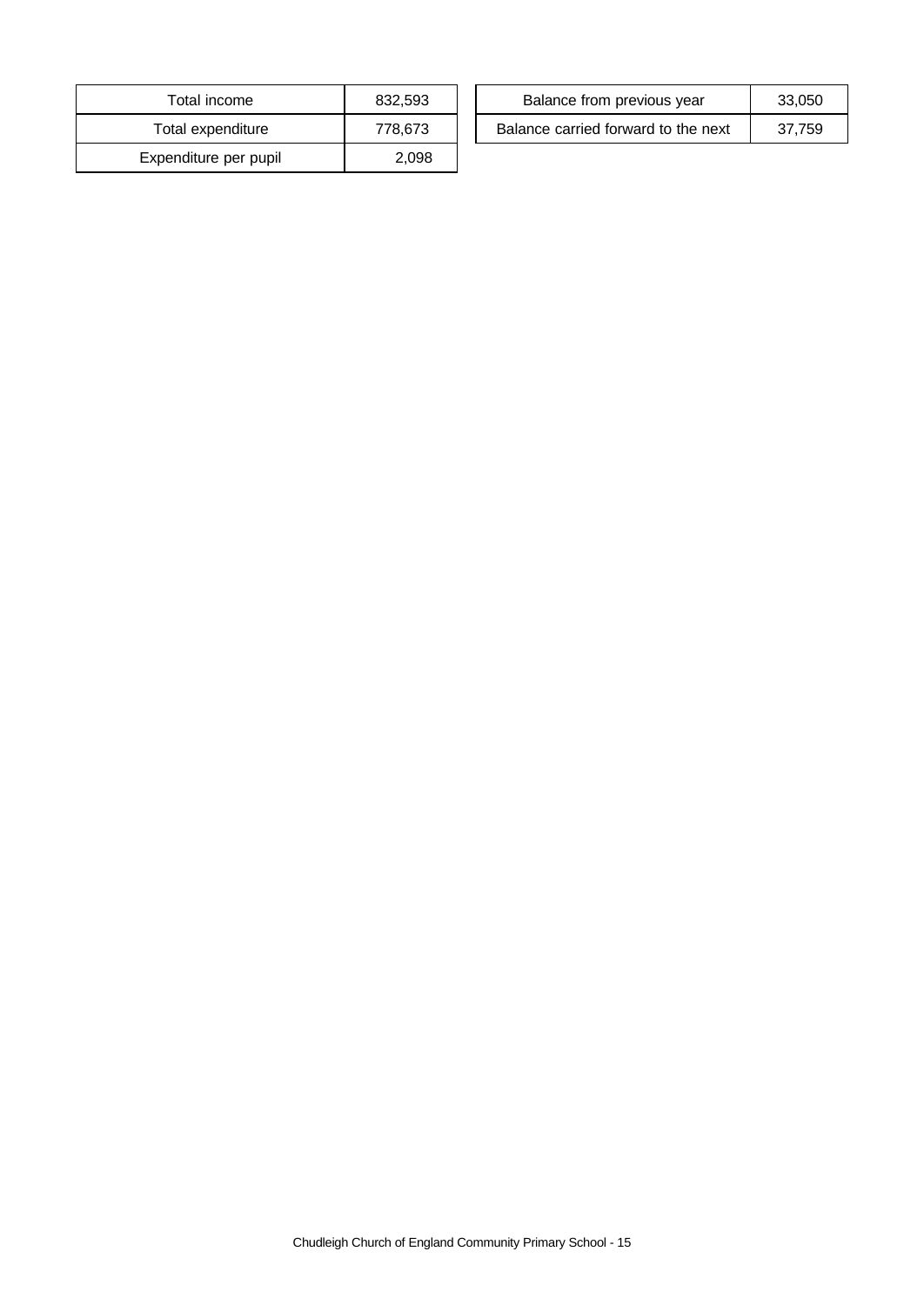| Total income          | 832,593 |
|-----------------------|---------|
| Total expenditure     | 778,673 |
| Expenditure per pupil | 2.098   |

| Total income      | 832.593 | Balance from previous year          | 33.050 |
|-------------------|---------|-------------------------------------|--------|
| Total expenditure | 778,673 | Balance carried forward to the next | 37.759 |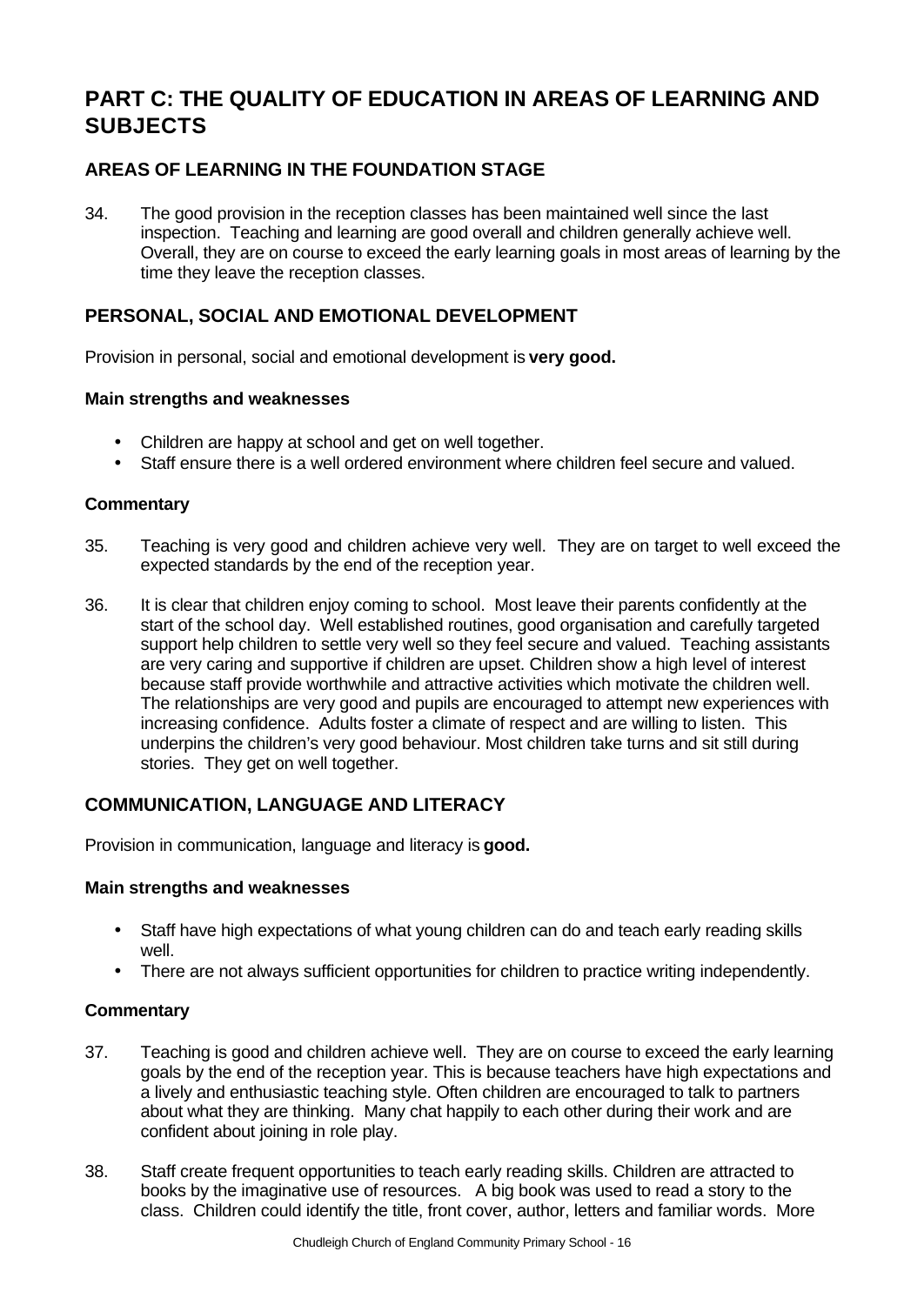# **PART C: THE QUALITY OF EDUCATION IN AREAS OF LEARNING AND SUBJECTS**

# **AREAS OF LEARNING IN THE FOUNDATION STAGE**

34. The good provision in the reception classes has been maintained well since the last inspection. Teaching and learning are good overall and children generally achieve well. Overall, they are on course to exceed the early learning goals in most areas of learning by the time they leave the reception classes.

# **PERSONAL, SOCIAL AND EMOTIONAL DEVELOPMENT**

Provision in personal, social and emotional development is **very good.**

### **Main strengths and weaknesses**

- Children are happy at school and get on well together.
- Staff ensure there is a well ordered environment where children feel secure and valued.

### **Commentary**

- 35. Teaching is very good and children achieve very well. They are on target to well exceed the expected standards by the end of the reception year.
- 36. It is clear that children enjoy coming to school. Most leave their parents confidently at the start of the school day. Well established routines, good organisation and carefully targeted support help children to settle very well so they feel secure and valued. Teaching assistants are very caring and supportive if children are upset. Children show a high level of interest because staff provide worthwhile and attractive activities which motivate the children well. The relationships are very good and pupils are encouraged to attempt new experiences with increasing confidence. Adults foster a climate of respect and are willing to listen. This underpins the children's very good behaviour. Most children take turns and sit still during stories. They get on well together.

# **COMMUNICATION, LANGUAGE AND LITERACY**

Provision in communication, language and literacy is **good.**

### **Main strengths and weaknesses**

- Staff have high expectations of what young children can do and teach early reading skills well.
- There are not always sufficient opportunities for children to practice writing independently.

- 37. Teaching is good and children achieve well. They are on course to exceed the early learning goals by the end of the reception year. This is because teachers have high expectations and a lively and enthusiastic teaching style. Often children are encouraged to talk to partners about what they are thinking. Many chat happily to each other during their work and are confident about joining in role play.
- 38. Staff create frequent opportunities to teach early reading skills. Children are attracted to books by the imaginative use of resources. A big book was used to read a story to the class. Children could identify the title, front cover, author, letters and familiar words. More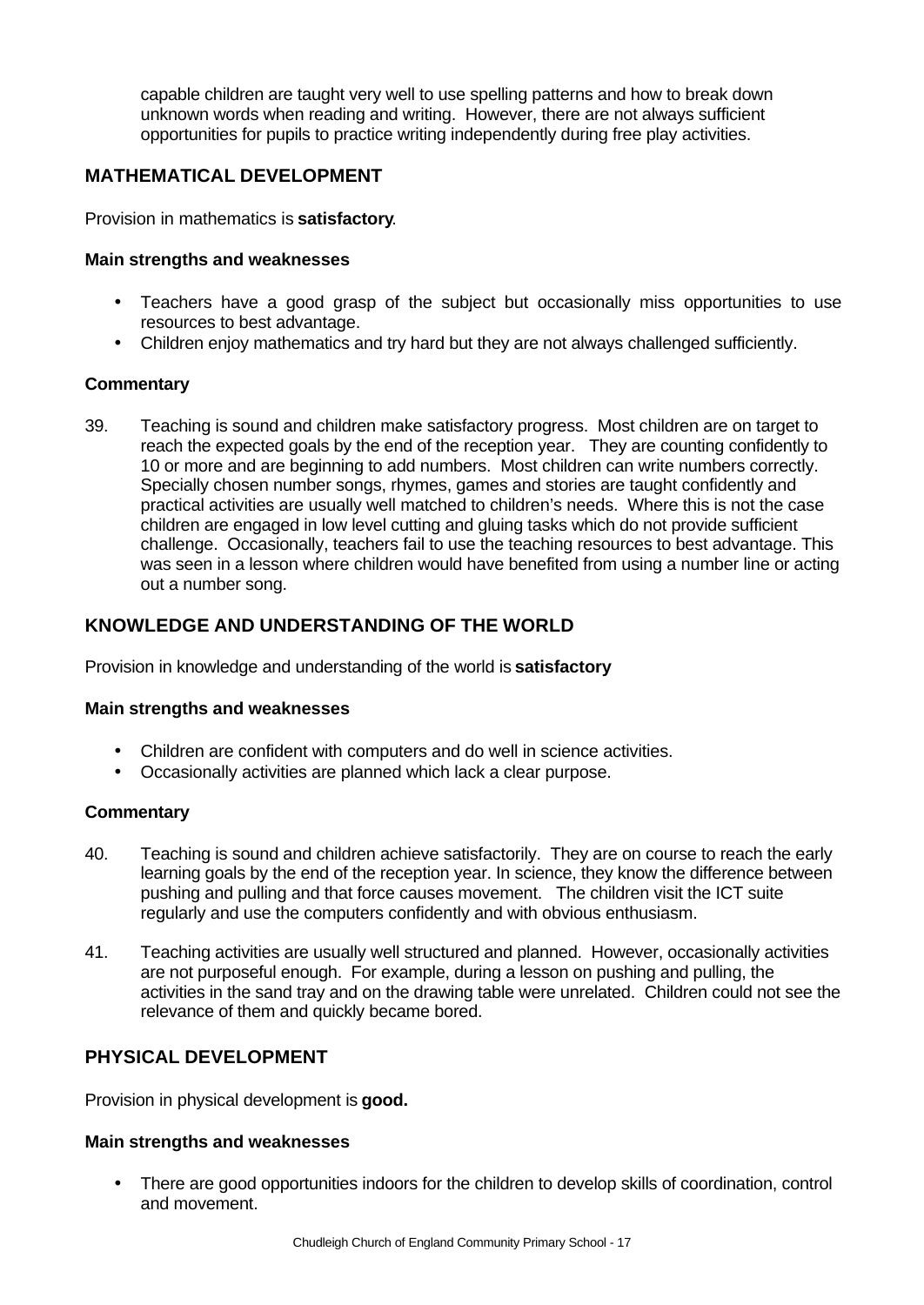capable children are taught very well to use spelling patterns and how to break down unknown words when reading and writing. However, there are not always sufficient opportunities for pupils to practice writing independently during free play activities.

# **MATHEMATICAL DEVELOPMENT**

Provision in mathematics is **satisfactory**.

### **Main strengths and weaknesses**

- Teachers have a good grasp of the subject but occasionally miss opportunities to use resources to best advantage.
- Children enjoy mathematics and try hard but they are not always challenged sufficiently.

### **Commentary**

39. Teaching is sound and children make satisfactory progress. Most children are on target to reach the expected goals by the end of the reception year. They are counting confidently to 10 or more and are beginning to add numbers. Most children can write numbers correctly. Specially chosen number songs, rhymes, games and stories are taught confidently and practical activities are usually well matched to children's needs. Where this is not the case children are engaged in low level cutting and gluing tasks which do not provide sufficient challenge. Occasionally, teachers fail to use the teaching resources to best advantage. This was seen in a lesson where children would have benefited from using a number line or acting out a number song.

# **KNOWLEDGE AND UNDERSTANDING OF THE WORLD**

Provision in knowledge and understanding of the world is **satisfactory**

### **Main strengths and weaknesses**

- Children are confident with computers and do well in science activities.
- Occasionally activities are planned which lack a clear purpose.

### **Commentary**

- 40. Teaching is sound and children achieve satisfactorily. They are on course to reach the early learning goals by the end of the reception year. In science, they know the difference between pushing and pulling and that force causes movement. The children visit the ICT suite regularly and use the computers confidently and with obvious enthusiasm.
- 41. Teaching activities are usually well structured and planned. However, occasionally activities are not purposeful enough. For example, during a lesson on pushing and pulling, the activities in the sand tray and on the drawing table were unrelated. Children could not see the relevance of them and quickly became bored.

# **PHYSICAL DEVELOPMENT**

Provision in physical development is **good.**

### **Main strengths and weaknesses**

• There are good opportunities indoors for the children to develop skills of coordination, control and movement.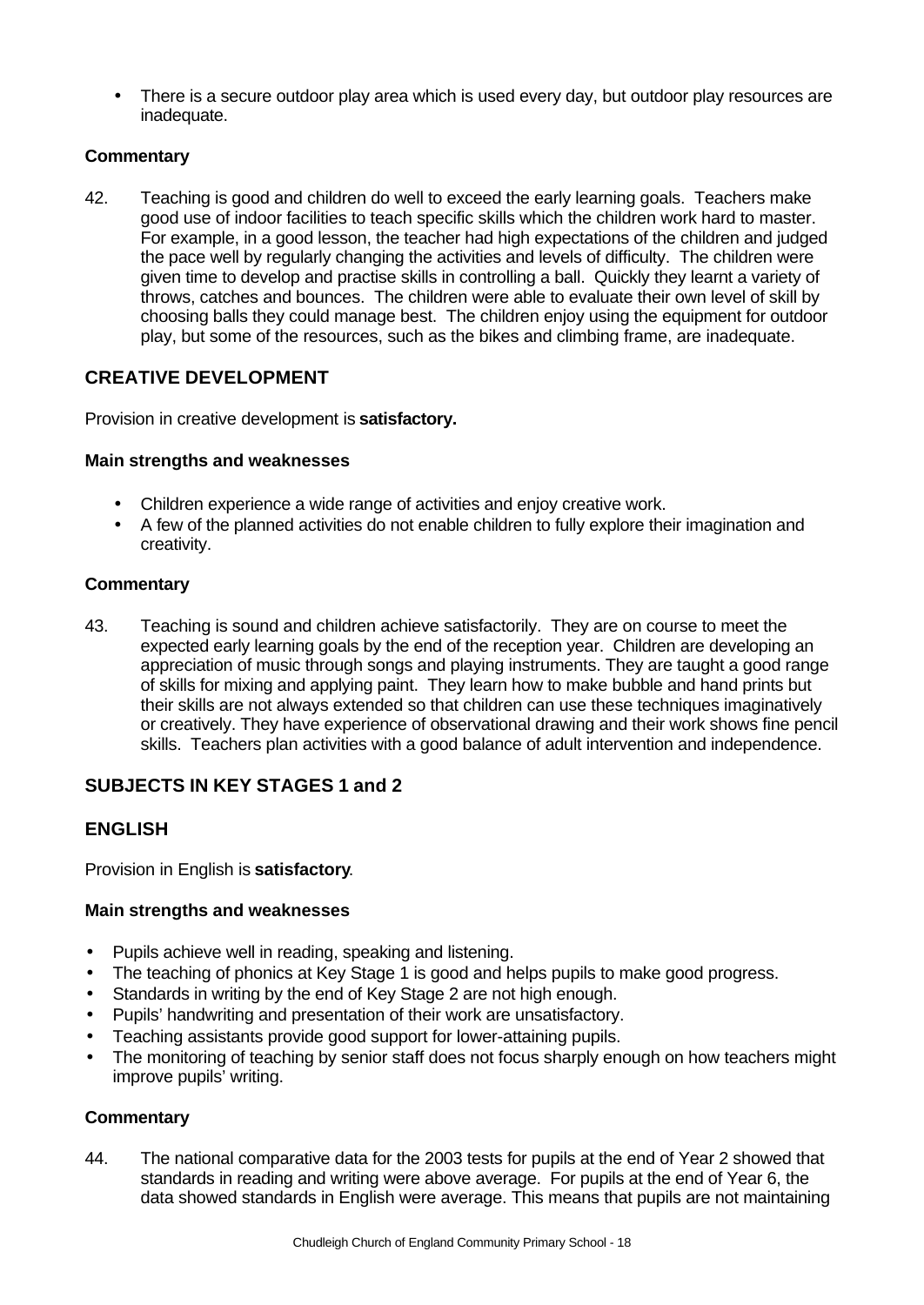• There is a secure outdoor play area which is used every day, but outdoor play resources are inadequate.

## **Commentary**

42. Teaching is good and children do well to exceed the early learning goals. Teachers make good use of indoor facilities to teach specific skills which the children work hard to master. For example, in a good lesson, the teacher had high expectations of the children and judged the pace well by regularly changing the activities and levels of difficulty. The children were given time to develop and practise skills in controlling a ball. Quickly they learnt a variety of throws, catches and bounces. The children were able to evaluate their own level of skill by choosing balls they could manage best. The children enjoy using the equipment for outdoor play, but some of the resources, such as the bikes and climbing frame, are inadequate.

# **CREATIVE DEVELOPMENT**

Provision in creative development is **satisfactory.**

### **Main strengths and weaknesses**

- Children experience a wide range of activities and enjoy creative work.
- A few of the planned activities do not enable children to fully explore their imagination and creativity.

### **Commentary**

43. Teaching is sound and children achieve satisfactorily. They are on course to meet the expected early learning goals by the end of the reception year. Children are developing an appreciation of music through songs and playing instruments. They are taught a good range of skills for mixing and applying paint. They learn how to make bubble and hand prints but their skills are not always extended so that children can use these techniques imaginatively or creatively. They have experience of observational drawing and their work shows fine pencil skills. Teachers plan activities with a good balance of adult intervention and independence.

# **SUBJECTS IN KEY STAGES 1 and 2**

# **ENGLISH**

Provision in English is **satisfactory**.

### **Main strengths and weaknesses**

- Pupils achieve well in reading, speaking and listening.
- The teaching of phonics at Key Stage 1 is good and helps pupils to make good progress.
- Standards in writing by the end of Key Stage 2 are not high enough.
- Pupils' handwriting and presentation of their work are unsatisfactory.
- Teaching assistants provide good support for lower-attaining pupils.
- The monitoring of teaching by senior staff does not focus sharply enough on how teachers might improve pupils' writing.

### **Commentary**

44. The national comparative data for the 2003 tests for pupils at the end of Year 2 showed that standards in reading and writing were above average. For pupils at the end of Year 6, the data showed standards in English were average. This means that pupils are not maintaining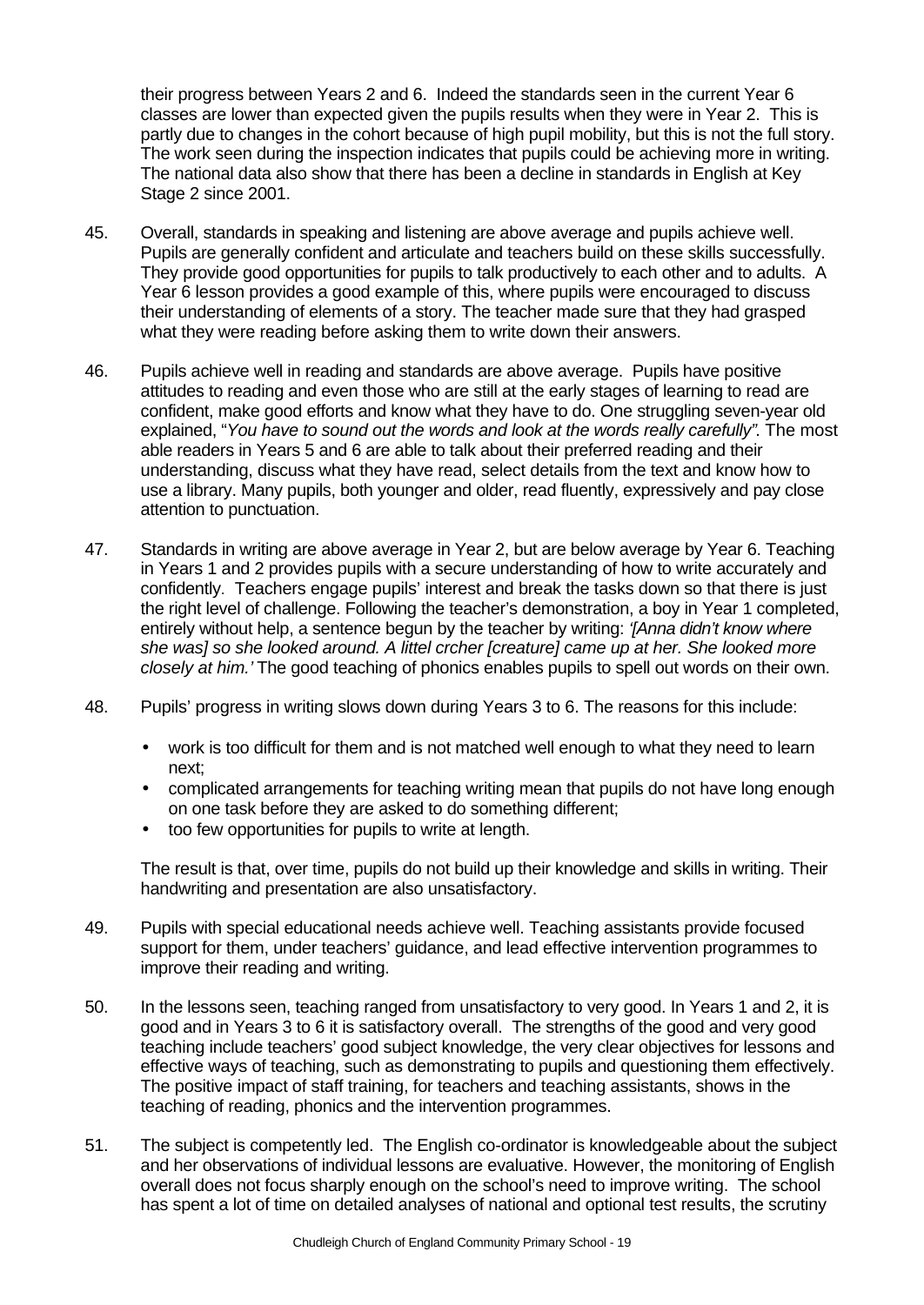their progress between Years 2 and 6. Indeed the standards seen in the current Year 6 classes are lower than expected given the pupils results when they were in Year 2. This is partly due to changes in the cohort because of high pupil mobility, but this is not the full story. The work seen during the inspection indicates that pupils could be achieving more in writing. The national data also show that there has been a decline in standards in English at Key Stage 2 since 2001.

- 45. Overall, standards in speaking and listening are above average and pupils achieve well. Pupils are generally confident and articulate and teachers build on these skills successfully. They provide good opportunities for pupils to talk productively to each other and to adults. A Year 6 lesson provides a good example of this, where pupils were encouraged to discuss their understanding of elements of a story. The teacher made sure that they had grasped what they were reading before asking them to write down their answers.
- 46. Pupils achieve well in reading and standards are above average. Pupils have positive attitudes to reading and even those who are still at the early stages of learning to read are confident, make good efforts and know what they have to do. One struggling seven-year old explained, "*You have to sound out the words and look at the words really carefully"*. The most able readers in Years 5 and 6 are able to talk about their preferred reading and their understanding, discuss what they have read, select details from the text and know how to use a library. Many pupils, both younger and older, read fluently, expressively and pay close attention to punctuation.
- 47. Standards in writing are above average in Year 2, but are below average by Year 6. Teaching in Years 1 and 2 provides pupils with a secure understanding of how to write accurately and confidently. Teachers engage pupils' interest and break the tasks down so that there is just the right level of challenge. Following the teacher's demonstration, a boy in Year 1 completed, entirely without help, a sentence begun by the teacher by writing: *'[Anna didn't know where she was] so she looked around. A littel crcher [creature] came up at her. She looked more closely at him.'* The good teaching of phonics enables pupils to spell out words on their own.
- 48. Pupils' progress in writing slows down during Years 3 to 6. The reasons for this include:
	- work is too difficult for them and is not matched well enough to what they need to learn next;
	- complicated arrangements for teaching writing mean that pupils do not have long enough on one task before they are asked to do something different;
	- too few opportunities for pupils to write at length.

The result is that, over time, pupils do not build up their knowledge and skills in writing. Their handwriting and presentation are also unsatisfactory.

- 49. Pupils with special educational needs achieve well. Teaching assistants provide focused support for them, under teachers' guidance, and lead effective intervention programmes to improve their reading and writing.
- 50. In the lessons seen, teaching ranged from unsatisfactory to very good. In Years 1 and 2, it is good and in Years 3 to 6 it is satisfactory overall. The strengths of the good and very good teaching include teachers' good subject knowledge, the very clear objectives for lessons and effective ways of teaching, such as demonstrating to pupils and questioning them effectively. The positive impact of staff training, for teachers and teaching assistants, shows in the teaching of reading, phonics and the intervention programmes.
- 51. The subject is competently led. The English co-ordinator is knowledgeable about the subject and her observations of individual lessons are evaluative. However, the monitoring of English overall does not focus sharply enough on the school's need to improve writing. The school has spent a lot of time on detailed analyses of national and optional test results, the scrutiny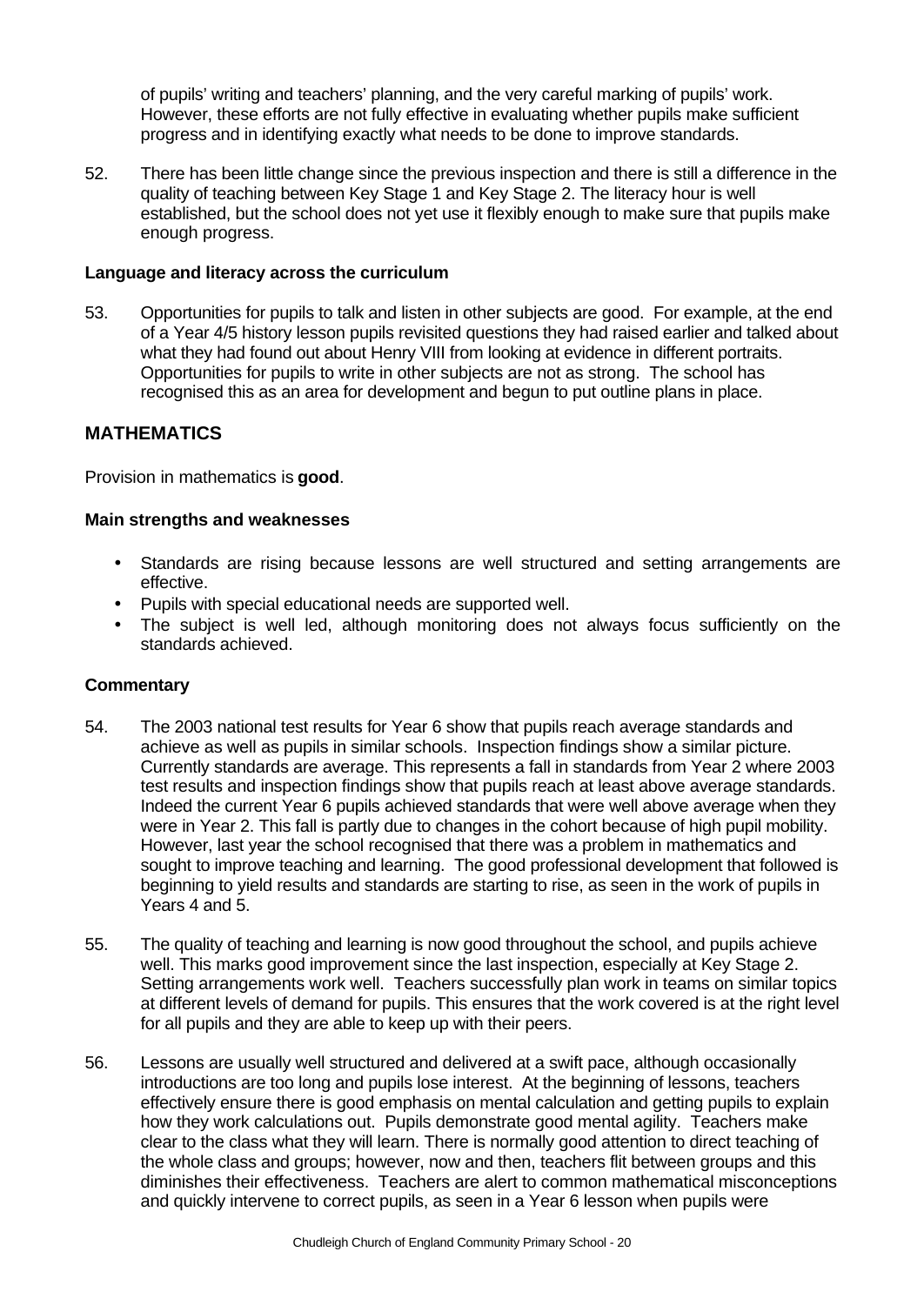of pupils' writing and teachers' planning, and the very careful marking of pupils' work. However, these efforts are not fully effective in evaluating whether pupils make sufficient progress and in identifying exactly what needs to be done to improve standards.

52. There has been little change since the previous inspection and there is still a difference in the quality of teaching between Key Stage 1 and Key Stage 2. The literacy hour is well established, but the school does not yet use it flexibly enough to make sure that pupils make enough progress.

#### **Language and literacy across the curriculum**

53. Opportunities for pupils to talk and listen in other subjects are good. For example, at the end of a Year 4/5 history lesson pupils revisited questions they had raised earlier and talked about what they had found out about Henry VIII from looking at evidence in different portraits. Opportunities for pupils to write in other subjects are not as strong. The school has recognised this as an area for development and begun to put outline plans in place.

### **MATHEMATICS**

Provision in mathematics is **good**.

### **Main strengths and weaknesses**

- Standards are rising because lessons are well structured and setting arrangements are effective.
- Pupils with special educational needs are supported well.
- The subject is well led, although monitoring does not always focus sufficiently on the standards achieved.

- 54. The 2003 national test results for Year 6 show that pupils reach average standards and achieve as well as pupils in similar schools. Inspection findings show a similar picture. Currently standards are average. This represents a fall in standards from Year 2 where 2003 test results and inspection findings show that pupils reach at least above average standards. Indeed the current Year 6 pupils achieved standards that were well above average when they were in Year 2. This fall is partly due to changes in the cohort because of high pupil mobility. However, last year the school recognised that there was a problem in mathematics and sought to improve teaching and learning. The good professional development that followed is beginning to yield results and standards are starting to rise, as seen in the work of pupils in Years 4 and 5.
- 55. The quality of teaching and learning is now good throughout the school, and pupils achieve well. This marks good improvement since the last inspection, especially at Key Stage 2. Setting arrangements work well. Teachers successfully plan work in teams on similar topics at different levels of demand for pupils. This ensures that the work covered is at the right level for all pupils and they are able to keep up with their peers.
- 56. Lessons are usually well structured and delivered at a swift pace, although occasionally introductions are too long and pupils lose interest. At the beginning of lessons, teachers effectively ensure there is good emphasis on mental calculation and getting pupils to explain how they work calculations out. Pupils demonstrate good mental agility. Teachers make clear to the class what they will learn. There is normally good attention to direct teaching of the whole class and groups; however, now and then, teachers flit between groups and this diminishes their effectiveness. Teachers are alert to common mathematical misconceptions and quickly intervene to correct pupils, as seen in a Year 6 lesson when pupils were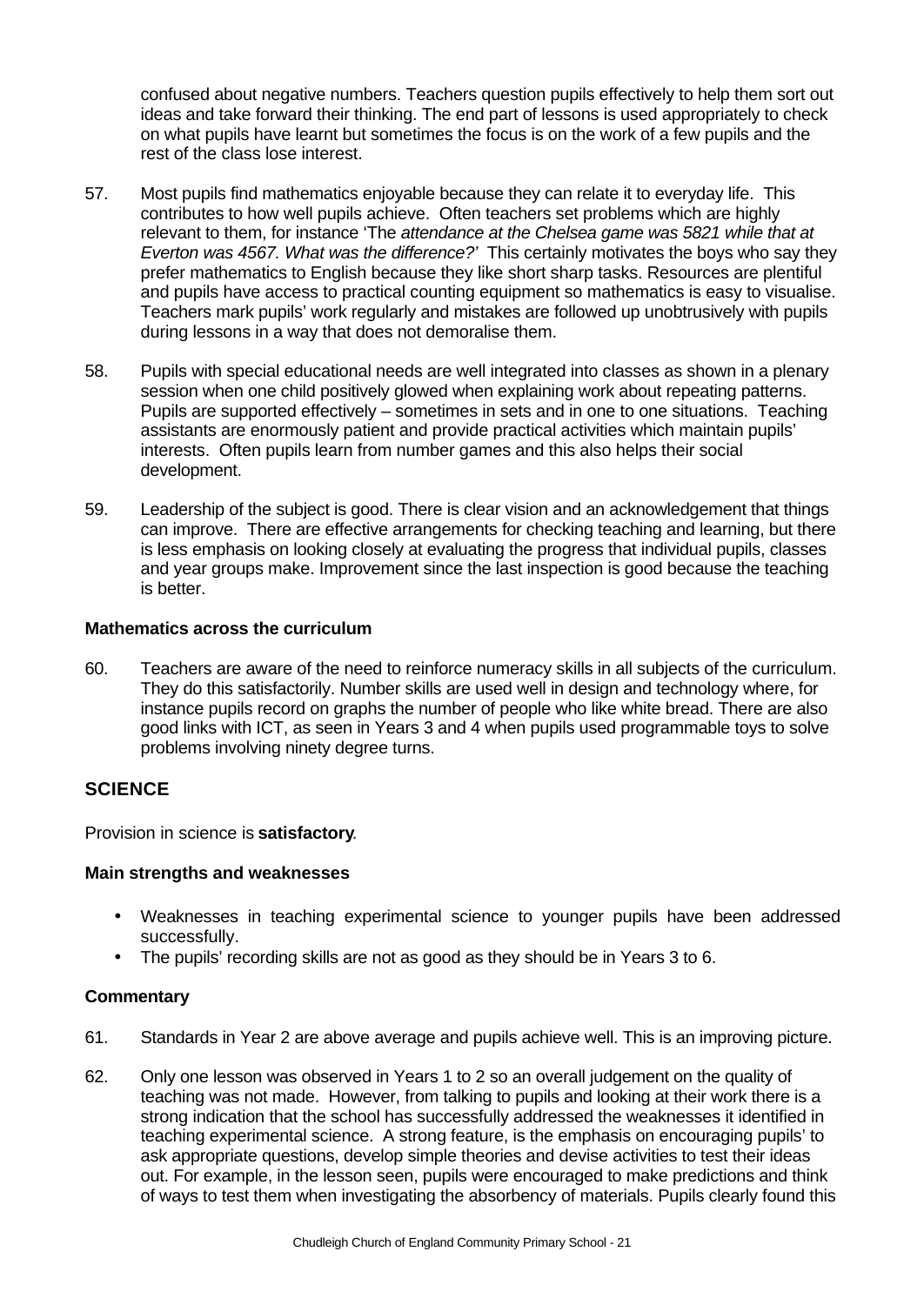confused about negative numbers. Teachers question pupils effectively to help them sort out ideas and take forward their thinking. The end part of lessons is used appropriately to check on what pupils have learnt but sometimes the focus is on the work of a few pupils and the rest of the class lose interest.

- 57. Most pupils find mathematics enjoyable because they can relate it to everyday life. This contributes to how well pupils achieve. Often teachers set problems which are highly relevant to them, for instance 'The *attendance at the Chelsea game was 5821 while that at Everton was 4567. What was the difference?'* This certainly motivates the boys who say they prefer mathematics to English because they like short sharp tasks. Resources are plentiful and pupils have access to practical counting equipment so mathematics is easy to visualise. Teachers mark pupils' work regularly and mistakes are followed up unobtrusively with pupils during lessons in a way that does not demoralise them.
- 58. Pupils with special educational needs are well integrated into classes as shown in a plenary session when one child positively glowed when explaining work about repeating patterns. Pupils are supported effectively – sometimes in sets and in one to one situations. Teaching assistants are enormously patient and provide practical activities which maintain pupils' interests. Often pupils learn from number games and this also helps their social development.
- 59. Leadership of the subject is good. There is clear vision and an acknowledgement that things can improve. There are effective arrangements for checking teaching and learning, but there is less emphasis on looking closely at evaluating the progress that individual pupils, classes and year groups make. Improvement since the last inspection is good because the teaching is better.

### **Mathematics across the curriculum**

60. Teachers are aware of the need to reinforce numeracy skills in all subjects of the curriculum. They do this satisfactorily. Number skills are used well in design and technology where, for instance pupils record on graphs the number of people who like white bread. There are also good links with ICT, as seen in Years 3 and 4 when pupils used programmable toys to solve problems involving ninety degree turns.

## **SCIENCE**

Provision in science is **satisfactory**.

### **Main strengths and weaknesses**

- Weaknesses in teaching experimental science to younger pupils have been addressed successfully.
- The pupils' recording skills are not as good as they should be in Years 3 to 6.

- 61. Standards in Year 2 are above average and pupils achieve well. This is an improving picture.
- 62. Only one lesson was observed in Years 1 to 2 so an overall judgement on the quality of teaching was not made. However, from talking to pupils and looking at their work there is a strong indication that the school has successfully addressed the weaknesses it identified in teaching experimental science. A strong feature, is the emphasis on encouraging pupils' to ask appropriate questions, develop simple theories and devise activities to test their ideas out. For example, in the lesson seen, pupils were encouraged to make predictions and think of ways to test them when investigating the absorbency of materials. Pupils clearly found this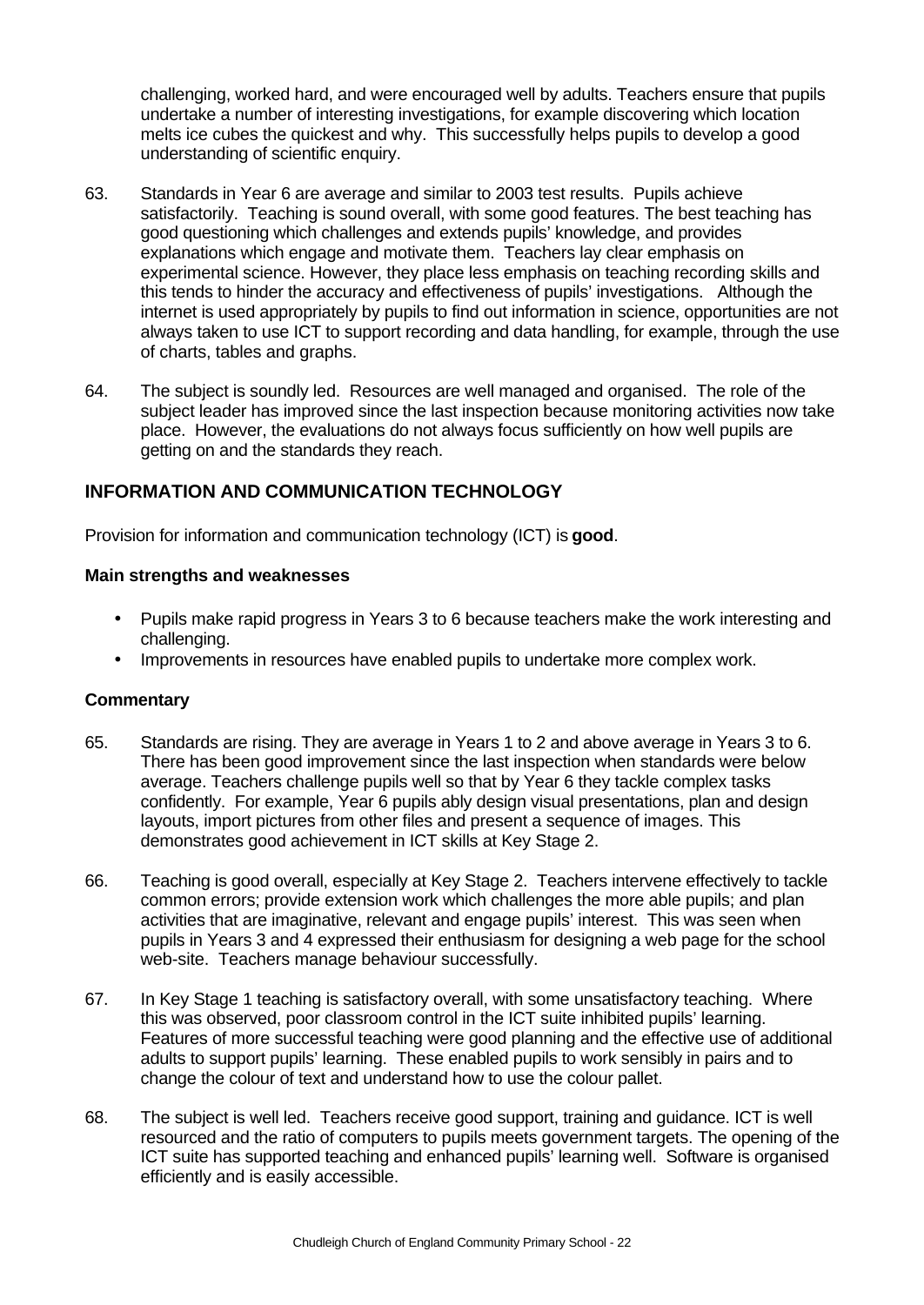challenging, worked hard, and were encouraged well by adults. Teachers ensure that pupils undertake a number of interesting investigations, for example discovering which location melts ice cubes the quickest and why. This successfully helps pupils to develop a good understanding of scientific enquiry.

- 63. Standards in Year 6 are average and similar to 2003 test results. Pupils achieve satisfactorily. Teaching is sound overall, with some good features. The best teaching has good questioning which challenges and extends pupils' knowledge, and provides explanations which engage and motivate them. Teachers lay clear emphasis on experimental science. However, they place less emphasis on teaching recording skills and this tends to hinder the accuracy and effectiveness of pupils' investigations. Although the internet is used appropriately by pupils to find out information in science, opportunities are not always taken to use ICT to support recording and data handling, for example, through the use of charts, tables and graphs.
- 64. The subject is soundly led. Resources are well managed and organised. The role of the subject leader has improved since the last inspection because monitoring activities now take place. However, the evaluations do not always focus sufficiently on how well pupils are getting on and the standards they reach.

## **INFORMATION AND COMMUNICATION TECHNOLOGY**

Provision for information and communication technology (ICT) is **good**.

### **Main strengths and weaknesses**

- Pupils make rapid progress in Years 3 to 6 because teachers make the work interesting and challenging.
- Improvements in resources have enabled pupils to undertake more complex work.

- 65. Standards are rising. They are average in Years 1 to 2 and above average in Years 3 to 6. There has been good improvement since the last inspection when standards were below average. Teachers challenge pupils well so that by Year 6 they tackle complex tasks confidently. For example, Year 6 pupils ably design visual presentations, plan and design layouts, import pictures from other files and present a sequence of images. This demonstrates good achievement in ICT skills at Key Stage 2.
- 66. Teaching is good overall, especially at Key Stage 2. Teachers intervene effectively to tackle common errors; provide extension work which challenges the more able pupils; and plan activities that are imaginative, relevant and engage pupils' interest. This was seen when pupils in Years 3 and 4 expressed their enthusiasm for designing a web page for the school web-site. Teachers manage behaviour successfully.
- 67. In Key Stage 1 teaching is satisfactory overall, with some unsatisfactory teaching. Where this was observed, poor classroom control in the ICT suite inhibited pupils' learning. Features of more successful teaching were good planning and the effective use of additional adults to support pupils' learning. These enabled pupils to work sensibly in pairs and to change the colour of text and understand how to use the colour pallet.
- 68. The subject is well led. Teachers receive good support, training and guidance. ICT is well resourced and the ratio of computers to pupils meets government targets. The opening of the ICT suite has supported teaching and enhanced pupils' learning well. Software is organised efficiently and is easily accessible.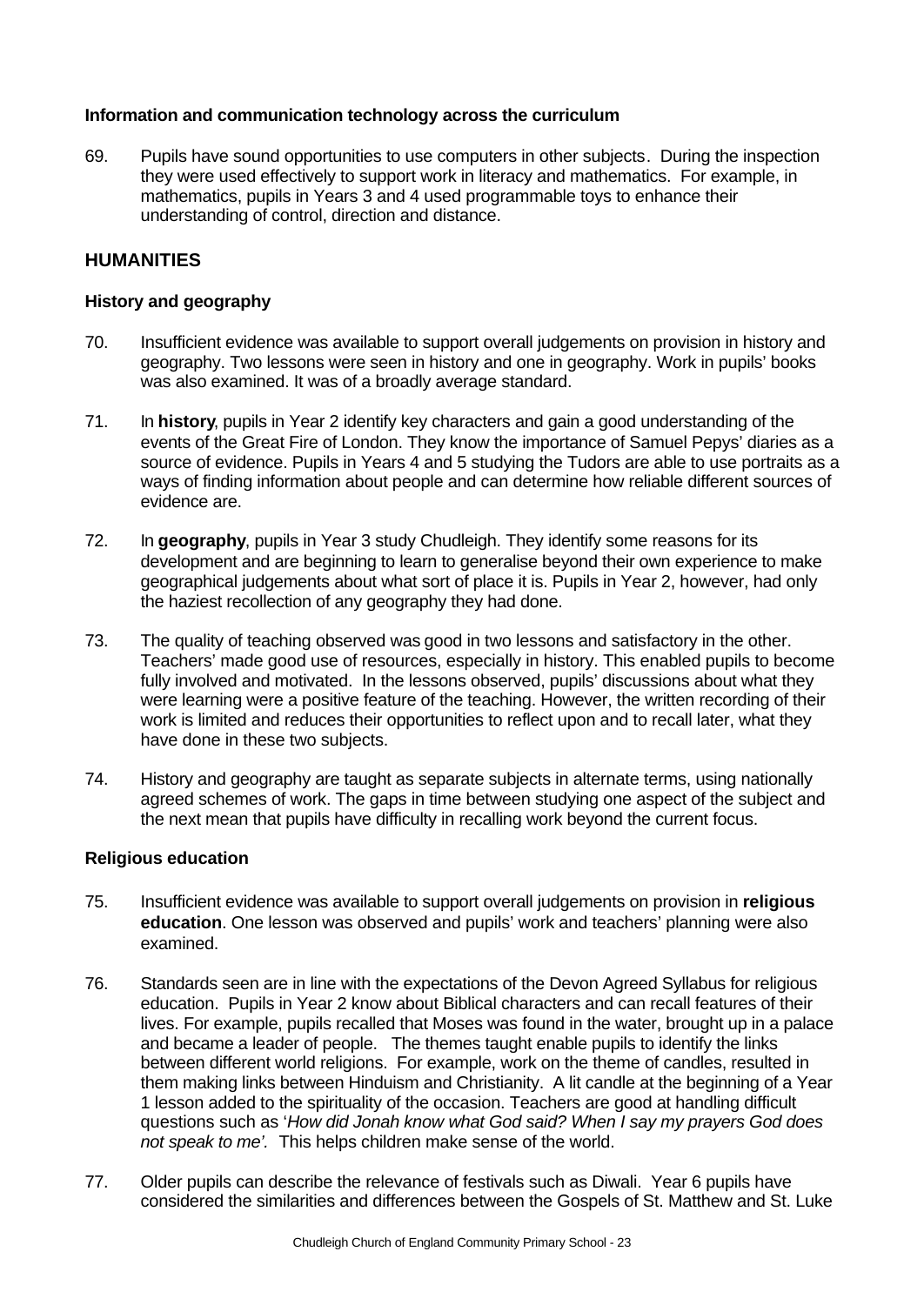### **Information and communication technology across the curriculum**

69. Pupils have sound opportunities to use computers in other subjects. During the inspection they were used effectively to support work in literacy and mathematics. For example, in mathematics, pupils in Years 3 and 4 used programmable toys to enhance their understanding of control, direction and distance.

# **HUMANITIES**

### **History and geography**

- 70. Insufficient evidence was available to support overall judgements on provision in history and geography. Two lessons were seen in history and one in geography. Work in pupils' books was also examined. It was of a broadly average standard.
- 71. In **history**, pupils in Year 2 identify key characters and gain a good understanding of the events of the Great Fire of London. They know the importance of Samuel Pepys' diaries as a source of evidence. Pupils in Years 4 and 5 studying the Tudors are able to use portraits as a ways of finding information about people and can determine how reliable different sources of evidence are.
- 72. In **geography**, pupils in Year 3 study Chudleigh. They identify some reasons for its development and are beginning to learn to generalise beyond their own experience to make geographical judgements about what sort of place it is. Pupils in Year 2, however, had only the haziest recollection of any geography they had done.
- 73. The quality of teaching observed was good in two lessons and satisfactory in the other. Teachers' made good use of resources, especially in history. This enabled pupils to become fully involved and motivated. In the lessons observed, pupils' discussions about what they were learning were a positive feature of the teaching. However, the written recording of their work is limited and reduces their opportunities to reflect upon and to recall later, what they have done in these two subjects.
- 74. History and geography are taught as separate subjects in alternate terms, using nationally agreed schemes of work. The gaps in time between studying one aspect of the subject and the next mean that pupils have difficulty in recalling work beyond the current focus.

### **Religious education**

- 75. Insufficient evidence was available to support overall judgements on provision in **religious education**. One lesson was observed and pupils' work and teachers' planning were also examined.
- 76. Standards seen are in line with the expectations of the Devon Agreed Syllabus for religious education. Pupils in Year 2 know about Biblical characters and can recall features of their lives. For example, pupils recalled that Moses was found in the water, brought up in a palace and became a leader of people. The themes taught enable pupils to identify the links between different world religions. For example, work on the theme of candles, resulted in them making links between Hinduism and Christianity. A lit candle at the beginning of a Year 1 lesson added to the spirituality of the occasion. Teachers are good at handling difficult questions such as '*How did Jonah know what God said? When I say my prayers God does not speak to me'.* This helps children make sense of the world.
- 77. Older pupils can describe the relevance of festivals such as Diwali. Year 6 pupils have considered the similarities and differences between the Gospels of St. Matthew and St. Luke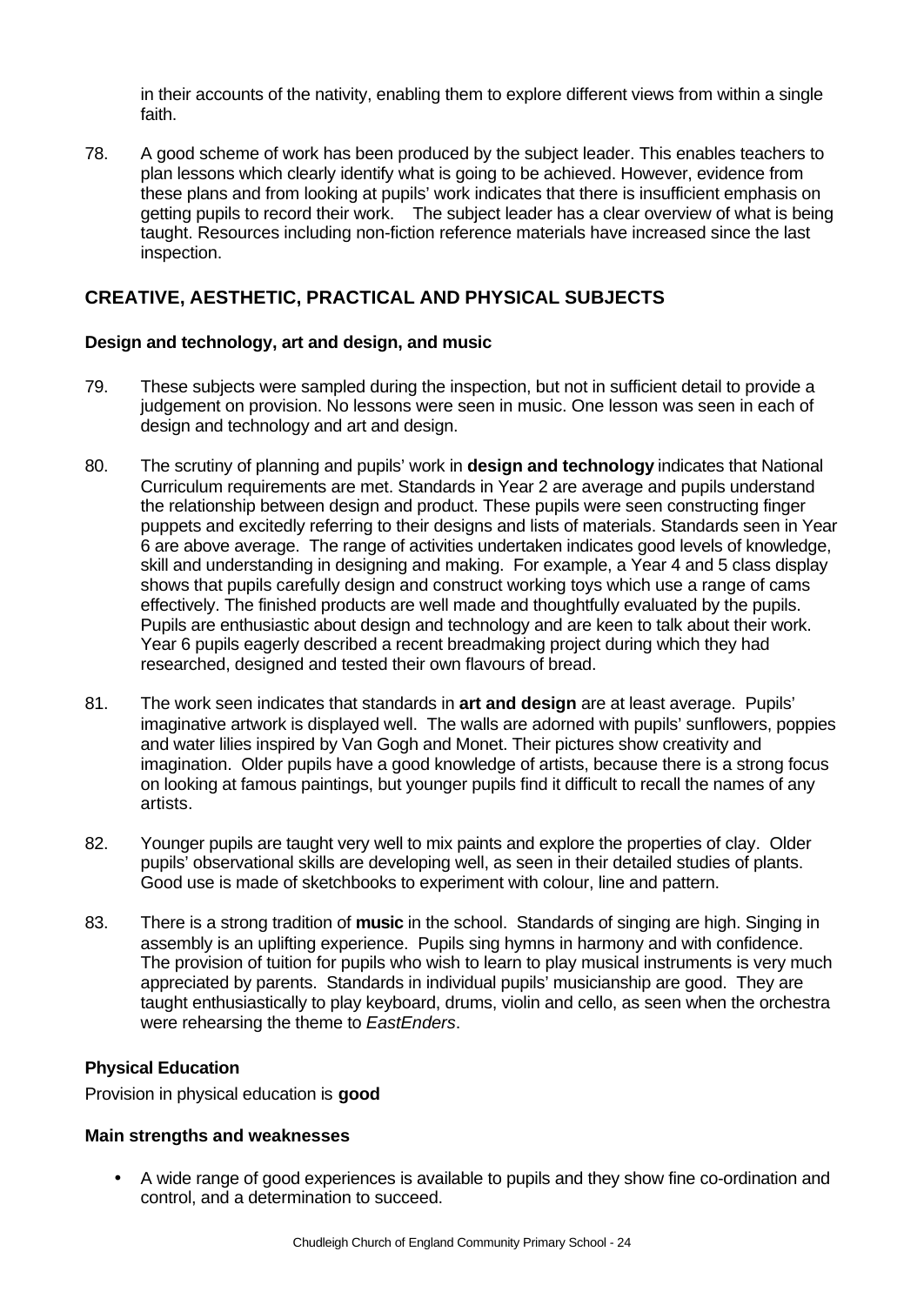in their accounts of the nativity, enabling them to explore different views from within a single faith.

78. A good scheme of work has been produced by the subject leader. This enables teachers to plan lessons which clearly identify what is going to be achieved. However, evidence from these plans and from looking at pupils' work indicates that there is insufficient emphasis on getting pupils to record their work. The subject leader has a clear overview of what is being taught. Resources including non-fiction reference materials have increased since the last inspection.

## **CREATIVE, AESTHETIC, PRACTICAL AND PHYSICAL SUBJECTS**

### **Design and technology, art and design, and music**

- 79. These subjects were sampled during the inspection, but not in sufficient detail to provide a judgement on provision. No lessons were seen in music. One lesson was seen in each of design and technology and art and design.
- 80. The scrutiny of planning and pupils' work in **design and technology** indicates that National Curriculum requirements are met. Standards in Year 2 are average and pupils understand the relationship between design and product. These pupils were seen constructing finger puppets and excitedly referring to their designs and lists of materials. Standards seen in Year 6 are above average. The range of activities undertaken indicates good levels of knowledge, skill and understanding in designing and making. For example, a Year 4 and 5 class display shows that pupils carefully design and construct working toys which use a range of cams effectively. The finished products are well made and thoughtfully evaluated by the pupils. Pupils are enthusiastic about design and technology and are keen to talk about their work. Year 6 pupils eagerly described a recent breadmaking project during which they had researched, designed and tested their own flavours of bread.
- 81. The work seen indicates that standards in **art and design** are at least average. Pupils' imaginative artwork is displayed well. The walls are adorned with pupils' sunflowers, poppies and water lilies inspired by Van Gogh and Monet. Their pictures show creativity and imagination. Older pupils have a good knowledge of artists, because there is a strong focus on looking at famous paintings, but younger pupils find it difficult to recall the names of any artists.
- 82. Younger pupils are taught very well to mix paints and explore the properties of clay. Older pupils' observational skills are developing well, as seen in their detailed studies of plants. Good use is made of sketchbooks to experiment with colour, line and pattern.
- 83. There is a strong tradition of **music** in the school. Standards of singing are high. Singing in assembly is an uplifting experience. Pupils sing hymns in harmony and with confidence. The provision of tuition for pupils who wish to learn to play musical instruments is very much appreciated by parents. Standards in individual pupils' musicianship are good. They are taught enthusiastically to play keyboard, drums, violin and cello, as seen when the orchestra were rehearsing the theme to *EastEnders*.

### **Physical Education**

Provision in physical education is **good**

### **Main strengths and weaknesses**

• A wide range of good experiences is available to pupils and they show fine co-ordination and control, and a determination to succeed.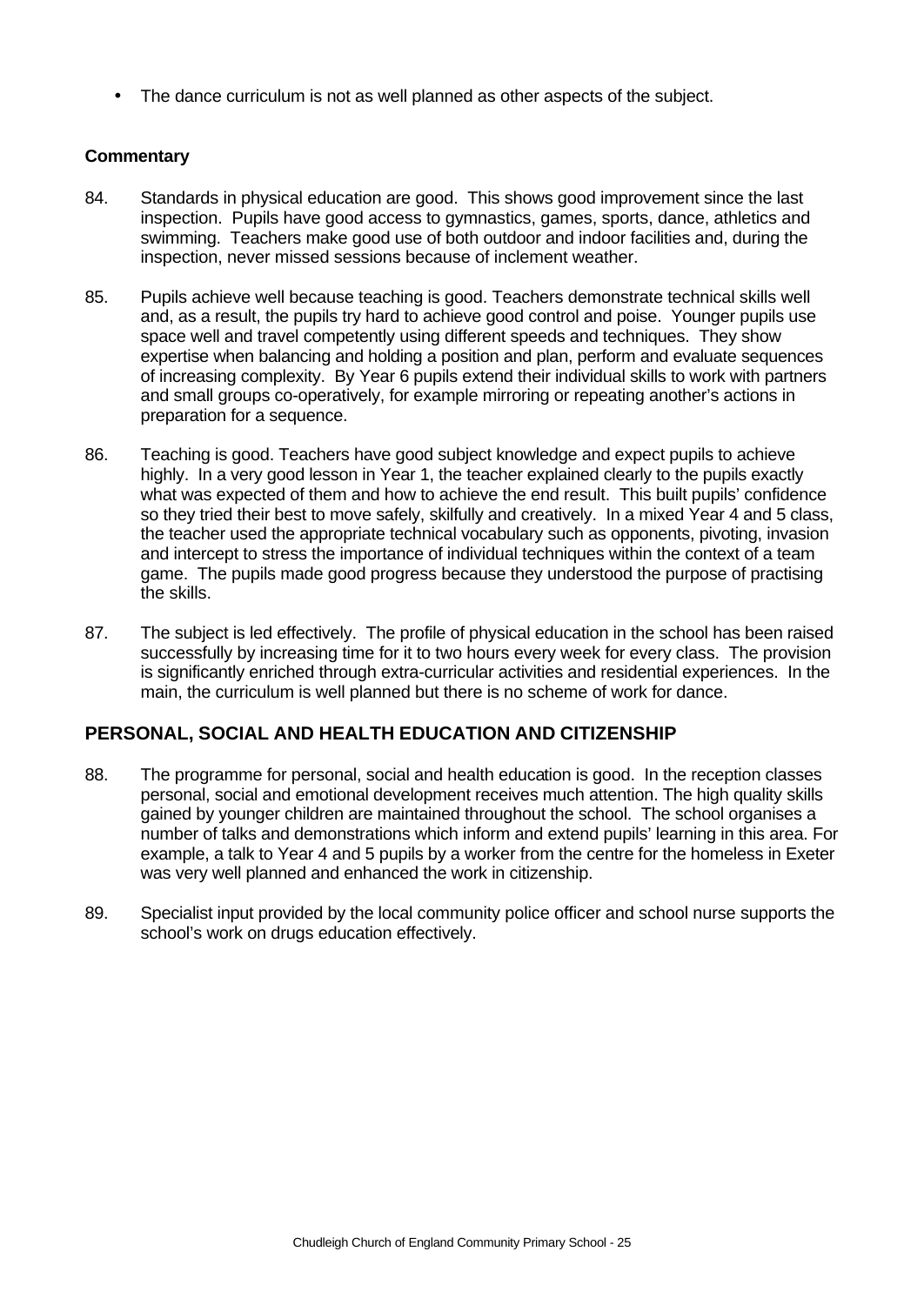• The dance curriculum is not as well planned as other aspects of the subject.

### **Commentary**

- 84. Standards in physical education are good. This shows good improvement since the last inspection. Pupils have good access to gymnastics, games, sports, dance, athletics and swimming. Teachers make good use of both outdoor and indoor facilities and, during the inspection, never missed sessions because of inclement weather.
- 85. Pupils achieve well because teaching is good. Teachers demonstrate technical skills well and, as a result, the pupils try hard to achieve good control and poise. Younger pupils use space well and travel competently using different speeds and techniques. They show expertise when balancing and holding a position and plan, perform and evaluate sequences of increasing complexity. By Year 6 pupils extend their individual skills to work with partners and small groups co-operatively, for example mirroring or repeating another's actions in preparation for a sequence.
- 86. Teaching is good. Teachers have good subject knowledge and expect pupils to achieve highly. In a very good lesson in Year 1, the teacher explained clearly to the pupils exactly what was expected of them and how to achieve the end result. This built pupils' confidence so they tried their best to move safely, skilfully and creatively. In a mixed Year 4 and 5 class, the teacher used the appropriate technical vocabulary such as opponents, pivoting, invasion and intercept to stress the importance of individual techniques within the context of a team game. The pupils made good progress because they understood the purpose of practising the skills.
- 87. The subject is led effectively. The profile of physical education in the school has been raised successfully by increasing time for it to two hours every week for every class. The provision is significantly enriched through extra-curricular activities and residential experiences. In the main, the curriculum is well planned but there is no scheme of work for dance.

## **PERSONAL, SOCIAL AND HEALTH EDUCATION AND CITIZENSHIP**

- 88. The programme for personal, social and health education is good. In the reception classes personal, social and emotional development receives much attention. The high quality skills gained by younger children are maintained throughout the school. The school organises a number of talks and demonstrations which inform and extend pupils' learning in this area. For example, a talk to Year 4 and 5 pupils by a worker from the centre for the homeless in Exeter was very well planned and enhanced the work in citizenship.
- 89. Specialist input provided by the local community police officer and school nurse supports the school's work on drugs education effectively.